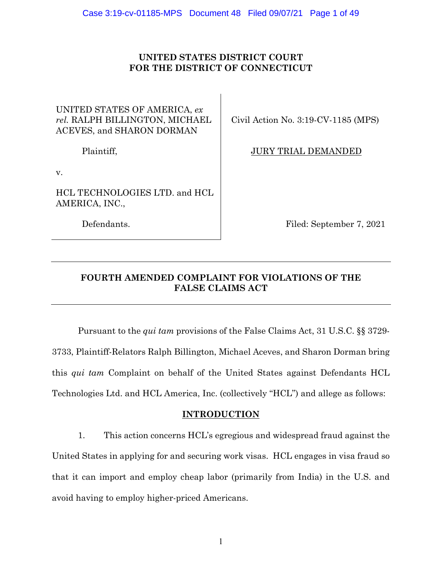# **UNITED STATES DISTRICT COURT FOR THE DISTRICT OF CONNECTICUT**

# UNITED STATES OF AMERICA, *ex rel.* RALPH BILLINGTON, MICHAEL ACEVES, and SHARON DORMAN

Plaintiff,

v.

HCL TECHNOLOGIES LTD. and HCL AMERICA, INC.,

Defendants.

Civil Action No. 3:19-CV-1185 (MPS)

JURY TRIAL DEMANDED

Filed: September 7, 2021

# **FOURTH AMENDED COMPLAINT FOR VIOLATIONS OF THE FALSE CLAIMS ACT**

Pursuant to the *qui tam* provisions of the False Claims Act, 31 U.S.C. §§ 3729- 3733, Plaintiff-Relators Ralph Billington, Michael Aceves, and Sharon Dorman bring this *qui tam* Complaint on behalf of the United States against Defendants HCL Technologies Ltd. and HCL America, Inc. (collectively "HCL") and allege as follows:

# **INTRODUCTION**

1. This action concerns HCL's egregious and widespread fraud against the United States in applying for and securing work visas. HCL engages in visa fraud so that it can import and employ cheap labor (primarily from India) in the U.S. and avoid having to employ higher-priced Americans.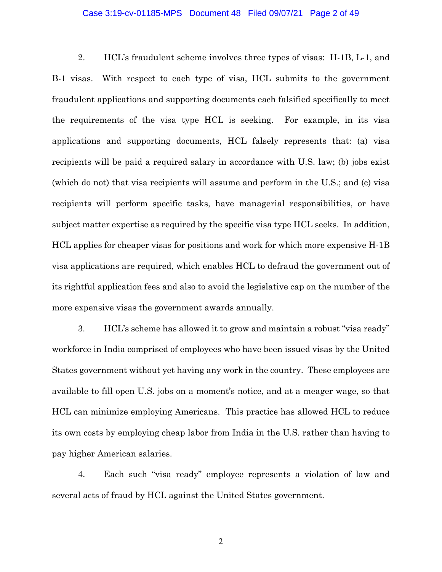#### Case 3:19-cv-01185-MPS Document 48 Filed 09/07/21 Page 2 of 49

2. HCL's fraudulent scheme involves three types of visas: H-1B, L-1, and B-1 visas. With respect to each type of visa, HCL submits to the government fraudulent applications and supporting documents each falsified specifically to meet the requirements of the visa type HCL is seeking. For example, in its visa applications and supporting documents, HCL falsely represents that: (a) visa recipients will be paid a required salary in accordance with U.S. law; (b) jobs exist (which do not) that visa recipients will assume and perform in the U.S.; and (c) visa recipients will perform specific tasks, have managerial responsibilities, or have subject matter expertise as required by the specific visa type HCL seeks. In addition, HCL applies for cheaper visas for positions and work for which more expensive H-1B visa applications are required, which enables HCL to defraud the government out of its rightful application fees and also to avoid the legislative cap on the number of the more expensive visas the government awards annually.

3. HCL's scheme has allowed it to grow and maintain a robust "visa ready" workforce in India comprised of employees who have been issued visas by the United States government without yet having any work in the country. These employees are available to fill open U.S. jobs on a moment's notice, and at a meager wage, so that HCL can minimize employing Americans. This practice has allowed HCL to reduce its own costs by employing cheap labor from India in the U.S. rather than having to pay higher American salaries.

4. Each such "visa ready" employee represents a violation of law and several acts of fraud by HCL against the United States government.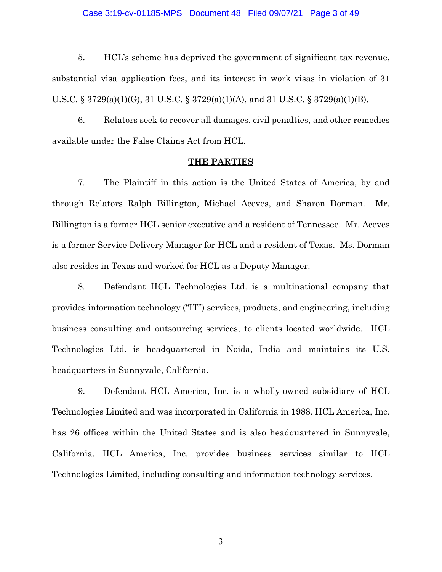#### Case 3:19-cv-01185-MPS Document 48 Filed 09/07/21 Page 3 of 49

5. HCL's scheme has deprived the government of significant tax revenue, substantial visa application fees, and its interest in work visas in violation of 31 U.S.C. § 3729(a)(1)(G), 31 U.S.C. § 3729(a)(1)(A), and 31 U.S.C. § 3729(a)(1)(B).

6. Relators seek to recover all damages, civil penalties, and other remedies available under the False Claims Act from HCL.

#### **THE PARTIES**

7. The Plaintiff in this action is the United States of America, by and through Relators Ralph Billington, Michael Aceves, and Sharon Dorman. Mr. Billington is a former HCL senior executive and a resident of Tennessee. Mr. Aceves is a former Service Delivery Manager for HCL and a resident of Texas. Ms. Dorman also resides in Texas and worked for HCL as a Deputy Manager.

8. Defendant HCL Technologies Ltd. is a multinational company that provides information technology ("IT") services, products, and engineering, including business consulting and outsourcing services, to clients located worldwide. HCL Technologies Ltd. is headquartered in Noida, India and maintains its U.S. headquarters in Sunnyvale, California.

9. Defendant HCL America, Inc. is a wholly-owned subsidiary of HCL Technologies Limited and was incorporated in California in 1988. HCL America, Inc. has 26 offices within the United States and is also headquartered in Sunnyvale, California. HCL America, Inc. provides business services similar to HCL Technologies Limited, including consulting and information technology services.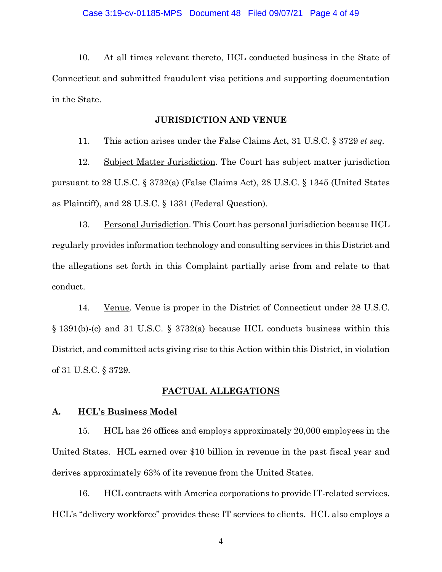10. At all times relevant thereto, HCL conducted business in the State of Connecticut and submitted fraudulent visa petitions and supporting documentation in the State.

#### **JURISDICTION AND VENUE**

11. This action arises under the False Claims Act, 31 U.S.C. § 3729 *et seq.*

12. Subject Matter Jurisdiction. The Court has subject matter jurisdiction pursuant to 28 U.S.C. § 3732(a) (False Claims Act), 28 U.S.C. § 1345 (United States as Plaintiff), and 28 U.S.C. § 1331 (Federal Question).

13. Personal Jurisdiction. This Court has personal jurisdiction because HCL regularly provides information technology and consulting services in this District and the allegations set forth in this Complaint partially arise from and relate to that conduct.

14. Venue. Venue is proper in the District of Connecticut under 28 U.S.C. § 1391(b)-(c) and 31 U.S.C. § 3732(a) because HCL conducts business within this District, and committed acts giving rise to this Action within this District, in violation of 31 U.S.C. § 3729.

#### **FACTUAL ALLEGATIONS**

#### **A. HCL's Business Model**

15. HCL has 26 offices and employs approximately 20,000 employees in the United States. HCL earned over \$10 billion in revenue in the past fiscal year and derives approximately 63% of its revenue from the United States.

16. HCL contracts with America corporations to provide IT-related services. HCL's "delivery workforce" provides these IT services to clients. HCL also employs a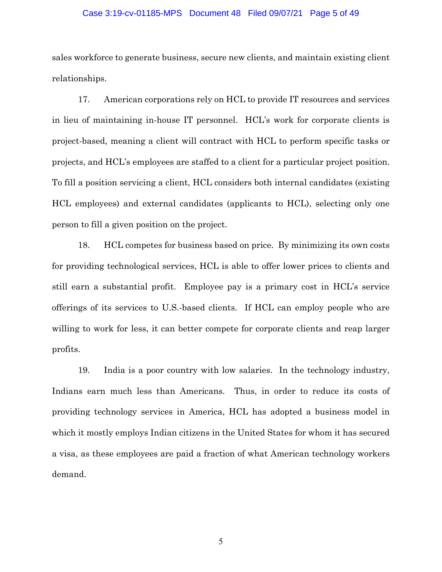#### Case 3:19-cv-01185-MPS Document 48 Filed 09/07/21 Page 5 of 49

sales workforce to generate business, secure new clients, and maintain existing client relationships.

17. American corporations rely on HCL to provide IT resources and services in lieu of maintaining in-house IT personnel. HCL's work for corporate clients is project-based, meaning a client will contract with HCL to perform specific tasks or projects, and HCL's employees are staffed to a client for a particular project position. To fill a position servicing a client, HCL considers both internal candidates (existing HCL employees) and external candidates (applicants to HCL), selecting only one person to fill a given position on the project.

18. HCL competes for business based on price. By minimizing its own costs for providing technological services, HCL is able to offer lower prices to clients and still earn a substantial profit. Employee pay is a primary cost in HCL's service offerings of its services to U.S.-based clients. If HCL can employ people who are willing to work for less, it can better compete for corporate clients and reap larger profits.

19. India is a poor country with low salaries. In the technology industry, Indians earn much less than Americans. Thus, in order to reduce its costs of providing technology services in America, HCL has adopted a business model in which it mostly employs Indian citizens in the United States for whom it has secured a visa, as these employees are paid a fraction of what American technology workers demand.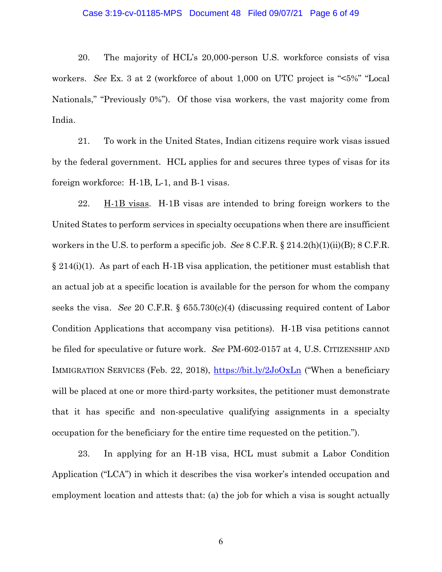#### Case 3:19-cv-01185-MPS Document 48 Filed 09/07/21 Page 6 of 49

20. The majority of HCL's 20,000-person U.S. workforce consists of visa workers. *See* Ex. 3 at 2 (workforce of about 1,000 on UTC project is "<5%" "Local Nationals," "Previously 0%"). Of those visa workers, the vast majority come from India.

21. To work in the United States, Indian citizens require work visas issued by the federal government. HCL applies for and secures three types of visas for its foreign workforce: H-1B, L-1, and B-1 visas.

22. H-1B visas. H-1B visas are intended to bring foreign workers to the United States to perform services in specialty occupations when there are insufficient workers in the U.S. to perform a specific job. *See* 8 C.F.R. § 214.2(h)(1)(ii)(B); 8 C.F.R.  $\S 214(i)(1)$ . As part of each H-1B visa application, the petitioner must establish that an actual job at a specific location is available for the person for whom the company seeks the visa. *See* 20 C.F.R. § 655.730(c)(4) (discussing required content of Labor Condition Applications that accompany visa petitions). H-1B visa petitions cannot be filed for speculative or future work. *See* PM-602-0157 at 4, U.S. CITIZENSHIP AND IMMIGRATION SERVICES (Feb. 22, 2018), https://bit.ly/2JoOxLn ("When a beneficiary will be placed at one or more third-party worksites, the petitioner must demonstrate that it has specific and non-speculative qualifying assignments in a specialty occupation for the beneficiary for the entire time requested on the petition.").

23. In applying for an H-1B visa, HCL must submit a Labor Condition Application ("LCA") in which it describes the visa worker's intended occupation and employment location and attests that: (a) the job for which a visa is sought actually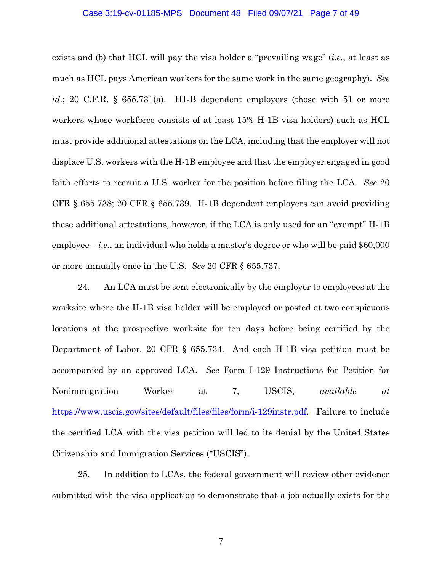#### Case 3:19-cv-01185-MPS Document 48 Filed 09/07/21 Page 7 of 49

exists and (b) that HCL will pay the visa holder a "prevailing wage" (*i.e.*, at least as much as HCL pays American workers for the same work in the same geography). *See id.*; 20 C.F.R. § 655.731(a). H1-B dependent employers (those with 51 or more workers whose workforce consists of at least 15% H-1B visa holders) such as HCL must provide additional attestations on the LCA, including that the employer will not displace U.S. workers with the H-1B employee and that the employer engaged in good faith efforts to recruit a U.S. worker for the position before filing the LCA. *See* 20 CFR § 655.738; 20 CFR § 655.739*.* H-1B dependent employers can avoid providing these additional attestations, however, if the LCA is only used for an "exempt" H-1B employee  $-i.e.,$  an individual who holds a master's degree or who will be paid  $$60,000$ or more annually once in the U.S. *See* 20 CFR § 655.737.

24. An LCA must be sent electronically by the employer to employees at the worksite where the H-1B visa holder will be employed or posted at two conspicuous locations at the prospective worksite for ten days before being certified by the Department of Labor. 20 CFR § 655.734. And each H-1B visa petition must be accompanied by an approved LCA. *See* Form I-129 Instructions for Petition for Nonimmigration Worker at 7, USCIS, *available at*  https://www.uscis.gov/sites/default/files/files/form/i-129instr.pdf. Failure to include the certified LCA with the visa petition will led to its denial by the United States Citizenship and Immigration Services ("USCIS").

25. In addition to LCAs, the federal government will review other evidence submitted with the visa application to demonstrate that a job actually exists for the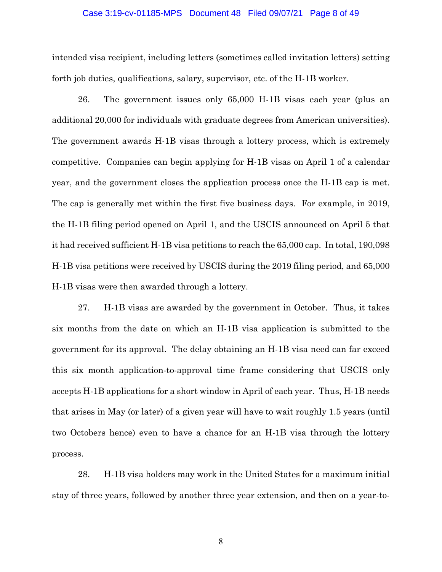#### Case 3:19-cv-01185-MPS Document 48 Filed 09/07/21 Page 8 of 49

intended visa recipient, including letters (sometimes called invitation letters) setting forth job duties, qualifications, salary, supervisor, etc. of the H-1B worker.

26. The government issues only 65,000 H-1B visas each year (plus an additional 20,000 for individuals with graduate degrees from American universities). The government awards H-1B visas through a lottery process, which is extremely competitive. Companies can begin applying for H-1B visas on April 1 of a calendar year, and the government closes the application process once the H-1B cap is met. The cap is generally met within the first five business days. For example, in 2019, the H-1B filing period opened on April 1, and the USCIS announced on April 5 that it had received sufficient H-1B visa petitions to reach the 65,000 cap. In total, 190,098 H-1B visa petitions were received by USCIS during the 2019 filing period, and 65,000 H-1B visas were then awarded through a lottery.

27. H-1B visas are awarded by the government in October. Thus, it takes six months from the date on which an H-1B visa application is submitted to the government for its approval. The delay obtaining an H-1B visa need can far exceed this six month application-to-approval time frame considering that USCIS only accepts H-1B applications for a short window in April of each year. Thus, H-1B needs that arises in May (or later) of a given year will have to wait roughly 1.5 years (until two Octobers hence) even to have a chance for an H-1B visa through the lottery process.

28. H-1B visa holders may work in the United States for a maximum initial stay of three years, followed by another three year extension, and then on a year-to-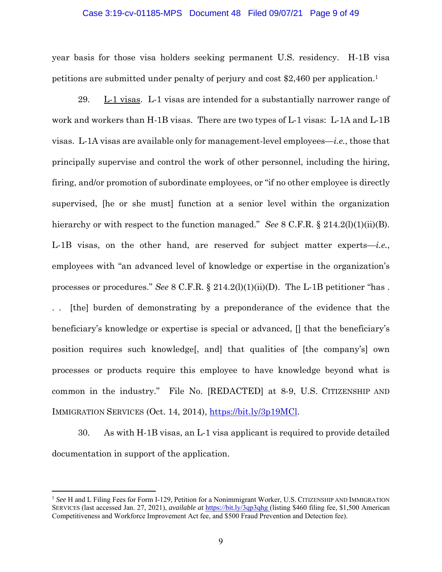#### Case 3:19-cv-01185-MPS Document 48 Filed 09/07/21 Page 9 of 49

year basis for those visa holders seeking permanent U.S. residency. H-1B visa petitions are submitted under penalty of perjury and cost \$2,460 per application.1

29. L-1 visas. L-1 visas are intended for a substantially narrower range of work and workers than H-1B visas. There are two types of L-1 visas: L-1A and L-1B visas. L-1A visas are available only for management-level employees—*i.e.*, those that principally supervise and control the work of other personnel, including the hiring, firing, and/or promotion of subordinate employees, or "if no other employee is directly supervised, [he or she must] function at a senior level within the organization hierarchy or with respect to the function managed." *See* 8 C.F.R. § 214.2(l)(1)(ii)(B). L-1B visas, on the other hand, are reserved for subject matter experts—*i.e.*, employees with "an advanced level of knowledge or expertise in the organization's processes or procedures." *See* 8 C.F.R. § 214.2(l)(1)(ii)(D). The L-1B petitioner "has .

[the] burden of demonstrating by a preponderance of the evidence that the beneficiary's knowledge or expertise is special or advanced, [] that the beneficiary's position requires such knowledge[, and] that qualities of [the company's] own processes or products require this employee to have knowledge beyond what is common in the industry." File No. [REDACTED] at 8-9, U.S. CITIZENSHIP AND IMMIGRATION SERVICES (Oct. 14, 2014), https://bit.ly/3p19MCl.

30. As with H-1B visas, an L-1 visa applicant is required to provide detailed documentation in support of the application.

<sup>1</sup> *See* H and L Filing Fees for Form I-129, Petition for a Nonimmigrant Worker, U.S. CITIZENSHIP AND IMMIGRATION SERVICES (last accessed Jan. 27, 2021), *available at* https://bit.ly/3qp3qhg (listing \$460 filing fee, \$1,500 American Competitiveness and Workforce Improvement Act fee, and \$500 Fraud Prevention and Detection fee).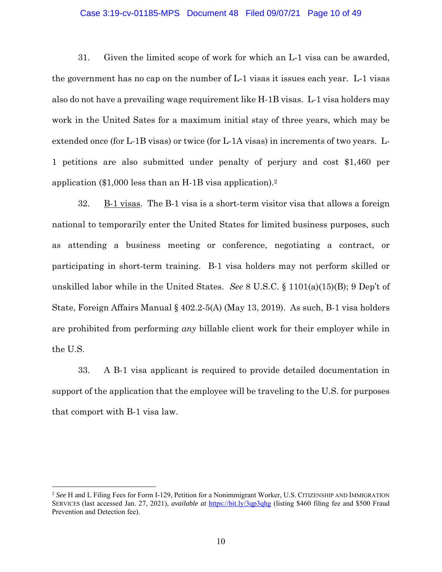#### Case 3:19-cv-01185-MPS Document 48 Filed 09/07/21 Page 10 of 49

31. Given the limited scope of work for which an L-1 visa can be awarded, the government has no cap on the number of L-1 visas it issues each year. L-1 visas also do not have a prevailing wage requirement like H-1B visas. L-1 visa holders may work in the United Sates for a maximum initial stay of three years, which may be extended once (for L-1B visas) or twice (for L-1A visas) in increments of two years. L-1 petitions are also submitted under penalty of perjury and cost \$1,460 per application (\$1,000 less than an H-1B visa application).2

32. B-1 visas. The B-1 visa is a short-term visitor visa that allows a foreign national to temporarily enter the United States for limited business purposes, such as attending a business meeting or conference, negotiating a contract, or participating in short-term training. B-1 visa holders may not perform skilled or unskilled labor while in the United States. *See* 8 U.S.C. § 1101(a)(15)(B); 9 Dep't of State, Foreign Affairs Manual § 402.2-5(A) (May 13, 2019). As such, B-1 visa holders are prohibited from performing *any* billable client work for their employer while in the U.S.

33. A B-1 visa applicant is required to provide detailed documentation in support of the application that the employee will be traveling to the U.S. for purposes that comport with B-1 visa law.

<sup>2</sup> *See* H and L Filing Fees for Form I-129, Petition for a Nonimmigrant Worker, U.S. CITIZENSHIP AND IMMIGRATION SERVICES (last accessed Jan. 27, 2021), *available at* https://bit.ly/3qp3qhg (listing \$460 filing fee and \$500 Fraud Prevention and Detection fee).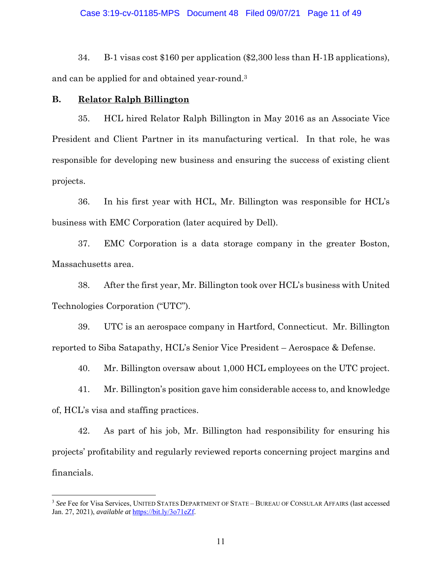#### Case 3:19-cv-01185-MPS Document 48 Filed 09/07/21 Page 11 of 49

34. B-1 visas cost \$160 per application (\$2,300 less than H-1B applications), and can be applied for and obtained year-round.3

### **B. Relator Ralph Billington**

35. HCL hired Relator Ralph Billington in May 2016 as an Associate Vice President and Client Partner in its manufacturing vertical. In that role, he was responsible for developing new business and ensuring the success of existing client projects.

36. In his first year with HCL, Mr. Billington was responsible for HCL's business with EMC Corporation (later acquired by Dell).

37. EMC Corporation is a data storage company in the greater Boston, Massachusetts area.

38. After the first year, Mr. Billington took over HCL's business with United Technologies Corporation ("UTC").

39. UTC is an aerospace company in Hartford, Connecticut. Mr. Billington reported to Siba Satapathy, HCL's Senior Vice President – Aerospace & Defense.

40. Mr. Billington oversaw about 1,000 HCL employees on the UTC project.

41. Mr. Billington's position gave him considerable access to, and knowledge of, HCL's visa and staffing practices.

42. As part of his job, Mr. Billington had responsibility for ensuring his projects' profitability and regularly reviewed reports concerning project margins and financials.

<sup>&</sup>lt;sup>3</sup> See Fee for Visa Services, UNITED STATES DEPARTMENT OF STATE - BUREAU OF CONSULAR AFFAIRS (last accessed Jan. 27, 2021), *available at* https://bit.ly/3o71eZf.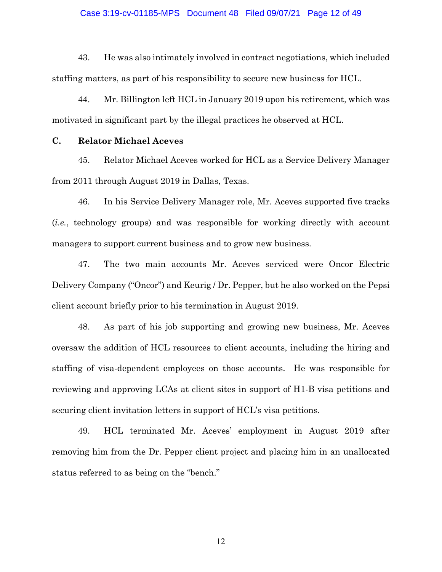#### Case 3:19-cv-01185-MPS Document 48 Filed 09/07/21 Page 12 of 49

43. He was also intimately involved in contract negotiations, which included staffing matters, as part of his responsibility to secure new business for HCL.

44. Mr. Billington left HCL in January 2019 upon his retirement, which was motivated in significant part by the illegal practices he observed at HCL.

#### **C. Relator Michael Aceves**

45. Relator Michael Aceves worked for HCL as a Service Delivery Manager from 2011 through August 2019 in Dallas, Texas.

46. In his Service Delivery Manager role, Mr. Aceves supported five tracks (*i.e.*, technology groups) and was responsible for working directly with account managers to support current business and to grow new business.

47. The two main accounts Mr. Aceves serviced were Oncor Electric Delivery Company ("Oncor") and Keurig / Dr. Pepper, but he also worked on the Pepsi client account briefly prior to his termination in August 2019.

48. As part of his job supporting and growing new business, Mr. Aceves oversaw the addition of HCL resources to client accounts, including the hiring and staffing of visa-dependent employees on those accounts. He was responsible for reviewing and approving LCAs at client sites in support of H1-B visa petitions and securing client invitation letters in support of HCL's visa petitions.

49. HCL terminated Mr. Aceves' employment in August 2019 after removing him from the Dr. Pepper client project and placing him in an unallocated status referred to as being on the "bench."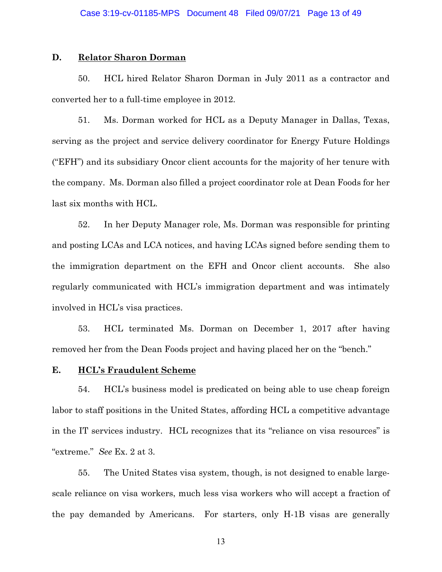#### **D. Relator Sharon Dorman**

50. HCL hired Relator Sharon Dorman in July 2011 as a contractor and converted her to a full-time employee in 2012.

51. Ms. Dorman worked for HCL as a Deputy Manager in Dallas, Texas, serving as the project and service delivery coordinator for Energy Future Holdings ("EFH") and its subsidiary Oncor client accounts for the majority of her tenure with the company. Ms. Dorman also filled a project coordinator role at Dean Foods for her last six months with HCL.

52. In her Deputy Manager role, Ms. Dorman was responsible for printing and posting LCAs and LCA notices, and having LCAs signed before sending them to the immigration department on the EFH and Oncor client accounts. She also regularly communicated with HCL's immigration department and was intimately involved in HCL's visa practices.

53. HCL terminated Ms. Dorman on December 1, 2017 after having removed her from the Dean Foods project and having placed her on the "bench."

## **E. HCL's Fraudulent Scheme**

54. HCL's business model is predicated on being able to use cheap foreign labor to staff positions in the United States, affording HCL a competitive advantage in the IT services industry. HCL recognizes that its "reliance on visa resources" is "extreme." *See* Ex. 2 at 3.

55. The United States visa system, though, is not designed to enable largescale reliance on visa workers, much less visa workers who will accept a fraction of the pay demanded by Americans. For starters, only H-1B visas are generally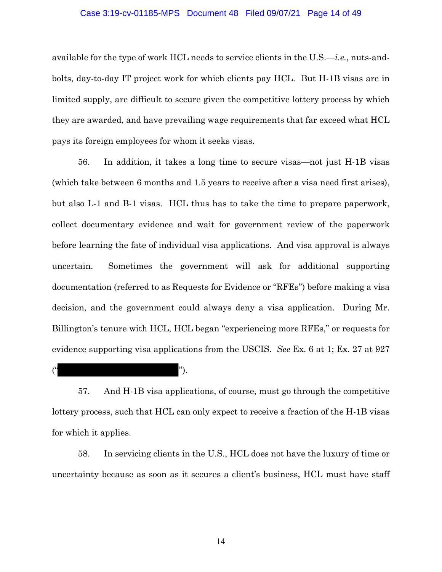#### Case 3:19-cv-01185-MPS Document 48 Filed 09/07/21 Page 14 of 49

available for the type of work HCL needs to service clients in the U.S.—*i.e.*, nuts-andbolts, day-to-day IT project work for which clients pay HCL. But H-1B visas are in limited supply, are difficult to secure given the competitive lottery process by which they are awarded, and have prevailing wage requirements that far exceed what HCL pays its foreign employees for whom it seeks visas.

56. In addition, it takes a long time to secure visas—not just H-1B visas (which take between 6 months and 1.5 years to receive after a visa need first arises), but also L-1 and B-1 visas. HCL thus has to take the time to prepare paperwork, collect documentary evidence and wait for government review of the paperwork before learning the fate of individual visa applications. And visa approval is always uncertain. Sometimes the government will ask for additional supporting documentation (referred to as Requests for Evidence or "RFEs") before making a visa decision, and the government could always deny a visa application. During Mr. Billington's tenure with HCL, HCL began "experiencing more RFEs," or requests for evidence supporting visa applications from the USCIS. *See* Ex. 6 at 1; Ex. 27 at 927

 $($ ").

57. And H-1B visa applications, of course, must go through the competitive lottery process, such that HCL can only expect to receive a fraction of the H-1B visas for which it applies.

58. In servicing clients in the U.S., HCL does not have the luxury of time or uncertainty because as soon as it secures a client's business, HCL must have staff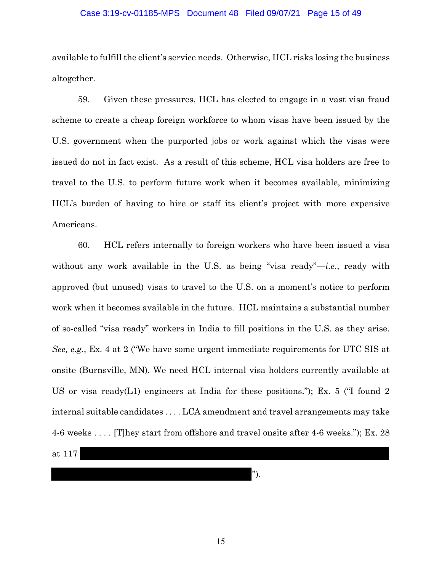#### Case 3:19-cv-01185-MPS Document 48 Filed 09/07/21 Page 15 of 49

available to fulfill the client's service needs. Otherwise, HCL risks losing the business altogether.

59. Given these pressures, HCL has elected to engage in a vast visa fraud scheme to create a cheap foreign workforce to whom visas have been issued by the U.S. government when the purported jobs or work against which the visas were issued do not in fact exist. As a result of this scheme, HCL visa holders are free to travel to the U.S. to perform future work when it becomes available, minimizing HCL's burden of having to hire or staff its client's project with more expensive Americans.

60. HCL refers internally to foreign workers who have been issued a visa without any work available in the U.S. as being "visa ready"—*i.e.*, ready with approved (but unused) visas to travel to the U.S. on a moment's notice to perform work when it becomes available in the future. HCL maintains a substantial number of so-called "visa ready" workers in India to fill positions in the U.S. as they arise. *See, e.g.*, Ex. 4 at 2 ("We have some urgent immediate requirements for UTC SIS at onsite (Burnsville, MN). We need HCL internal visa holders currently available at US or visa ready(L1) engineers at India for these positions."); Ex. 5 ( $\degree$ I found 2 internal suitable candidates . . . . LCA amendment and travel arrangements may take 4-6 weeks . . . . [T]hey start from offshore and travel onsite after 4-6 weeks."); Ex. 28

at 117

").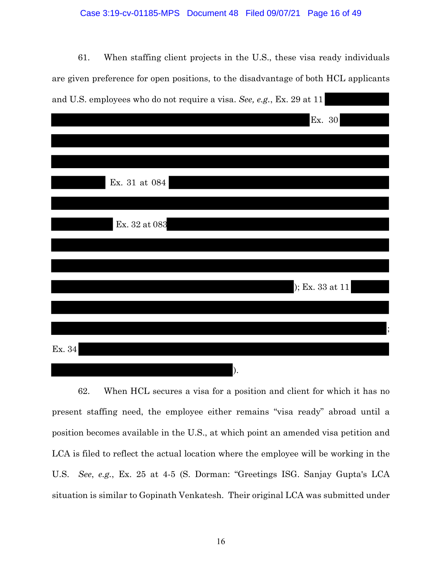#### Case 3:19-cv-01185-MPS Document 48 Filed 09/07/21 Page 16 of 49

61. When staffing client projects in the U.S., these visa ready individuals are given preference for open positions, to the disadvantage of both HCL applicants and U.S. employees who do not require a visa. *See, e.g.*, Ex. 29 at 11

|        |               | Ex. 30          |
|--------|---------------|-----------------|
|        |               |                 |
|        | Ex. 31 at 084 |                 |
|        |               |                 |
|        | Ex. 32 at 083 |                 |
|        |               |                 |
|        |               | $E$ x. 33 at 11 |
|        |               |                 |
| Ex. 34 |               |                 |

62. When HCL secures a visa for a position and client for which it has no present staffing need, the employee either remains "visa ready" abroad until a position becomes available in the U.S., at which point an amended visa petition and LCA is filed to reflect the actual location where the employee will be working in the U.S. *See*, *e.g.*, Ex. 25 at 4-5 (S. Dorman: "Greetings ISG. Sanjay Gupta's LCA situation is similar to Gopinath Venkatesh. Their original LCA was submitted under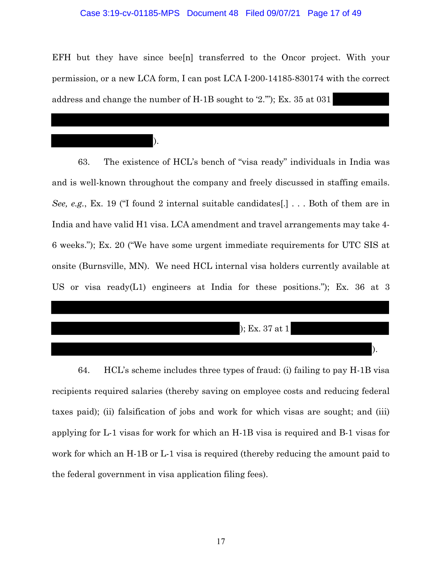#### Case 3:19-cv-01185-MPS Document 48 Filed 09/07/21 Page 17 of 49

EFH but they have since bee<sup>[n]</sup> transferred to the Oncor project. With your permission, or a new LCA form, I can post LCA I-200-14185-830174 with the correct address and change the number of H-1B sought to '2.'"); Ex. 35 at 031

).

63. The existence of HCL's bench of "visa ready" individuals in India was and is well-known throughout the company and freely discussed in staffing emails. *See, e.g.*, Ex. 19 ("I found 2 internal suitable candidates[.] . . . Both of them are in India and have valid H1 visa. LCA amendment and travel arrangements may take 4- 6 weeks."); Ex. 20 ("We have some urgent immediate requirements for UTC SIS at onsite (Burnsville, MN). We need HCL internal visa holders currently available at US or visa ready(L1) engineers at India for these positions."); Ex. 36 at 3

); Ex. 37 at 1

).

64. HCL's scheme includes three types of fraud: (i) failing to pay H-1B visa recipients required salaries (thereby saving on employee costs and reducing federal taxes paid); (ii) falsification of jobs and work for which visas are sought; and (iii) applying for L-1 visas for work for which an H-1B visa is required and B-1 visas for work for which an H-1B or L-1 visa is required (thereby reducing the amount paid to the federal government in visa application filing fees).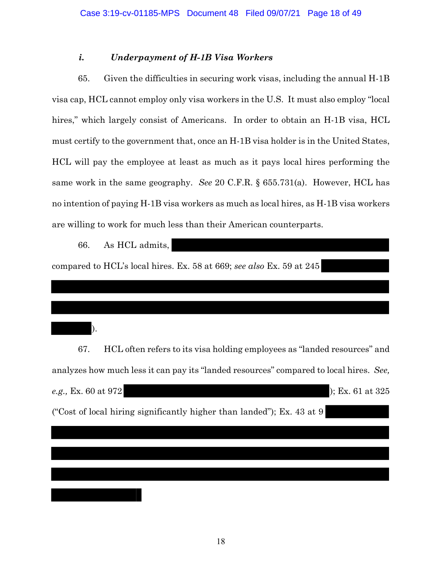# *i. Underpayment of H-1B Visa Workers*

65. Given the difficulties in securing work visas, including the annual H-1B visa cap, HCL cannot employ only visa workers in the U.S. It must also employ "local hires," which largely consist of Americans. In order to obtain an H-1B visa, HCL must certify to the government that, once an H-1B visa holder is in the United States, HCL will pay the employee at least as much as it pays local hires performing the same work in the same geography. *See* 20 C.F.R. § 655.731(a). However, HCL has no intention of paying H-1B visa workers as much as local hires, as H-1B visa workers are willing to work for much less than their American counterparts.

66. As HCL admits, compared to HCL's local hires. Ex. 58 at 669; *see also* Ex. 59 at 245 ). 67. HCL often refers to its visa holding employees as "landed resources" and analyzes how much less it can pay its "landed resources" compared to local hires. *See, e.g.,* Ex. 60 at 972 ); Ex. 61 at 325

("Cost of local hiring significantly higher than landed"); Ex. 43 at 9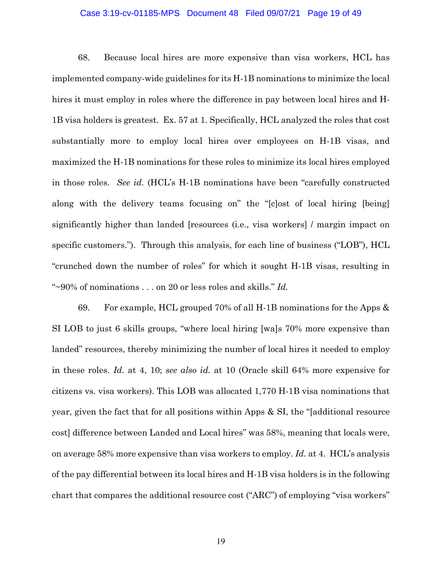#### Case 3:19-cv-01185-MPS Document 48 Filed 09/07/21 Page 19 of 49

68. Because local hires are more expensive than visa workers, HCL has implemented company-wide guidelines for its H-1B nominations to minimize the local hires it must employ in roles where the difference in pay between local hires and H-1B visa holders is greatest. Ex. 57 at 1. Specifically, HCL analyzed the roles that cost substantially more to employ local hires over employees on H-1B visas, and maximized the H-1B nominations for these roles to minimize its local hires employed in those roles. *See id.* (HCL's H-1B nominations have been "carefully constructed along with the delivery teams focusing on" the "[c]ost of local hiring [being] significantly higher than landed [resources (i.e., visa workers] / margin impact on specific customers."). Through this analysis, for each line of business ("LOB"), HCL "crunched down the number of roles" for which it sought H-1B visas, resulting in "~90% of nominations . . . on 20 or less roles and skills." *Id.* 

69. For example, HCL grouped 70% of all H-1B nominations for the Apps  $\&$ SI LOB to just 6 skills groups, "where local hiring [wa]s 70% more expensive than landed" resources, thereby minimizing the number of local hires it needed to employ in these roles. *Id.* at 4, 10; *see also id.* at 10 (Oracle skill 64% more expensive for citizens vs. visa workers). This LOB was allocated 1,770 H-1B visa nominations that year, given the fact that for all positions within Apps & SI, the "[additional resource cost] difference between Landed and Local hires" was 58%, meaning that locals were, on average 58% more expensive than visa workers to employ. *Id.* at 4. HCL's analysis of the pay differential between its local hires and H-1B visa holders is in the following chart that compares the additional resource cost ("ARC") of employing "visa workers"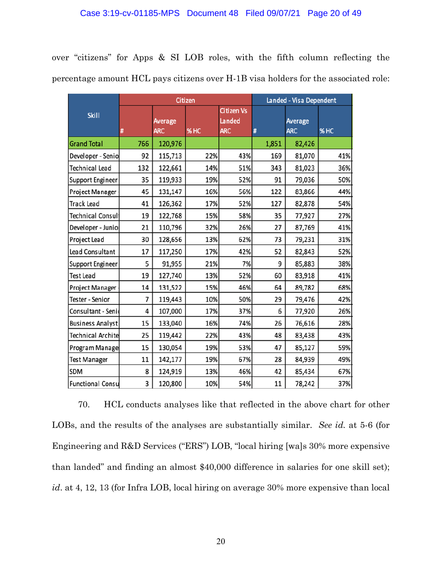over "citizens" for Apps & SI LOB roles, with the fifth column reflecting the percentage amount HCL pays citizens over H-1B visa holders for the associated role:

|                          | Citizen |                              |     | Landed - Visa Dependent                   |       |                       |      |
|--------------------------|---------|------------------------------|-----|-------------------------------------------|-------|-----------------------|------|
| <b>Skill</b>             | #       | <b>Average</b><br><b>ARC</b> | %HC | <b>Citizen Vs</b><br>Landed<br><b>ARC</b> | #     | Average<br><b>ARC</b> | % HC |
| <b>Grand Total</b>       | 766     | 120,976                      |     |                                           | 1,851 | 82,426                |      |
| Developer - Senio        | 92      | 115,713                      | 22% | 43%                                       | 169   | 81,070                | 41%  |
| Technical Lead           | 132     | 122,661                      | 14% | 51%                                       | 343   | 81,023                | 36%  |
| Support Engineer         | 35      | 119,933                      | 19% | 52%                                       | 91    | 79,036                | 50%  |
| Project Manager          | 45      | 131,147                      | 16% | 56%                                       | 122   | 83,866                | 44%  |
| <b>Track Lead</b>        | 41      | 126,362                      | 17% | 52%                                       | 127   | 82,878                | 54%  |
| <b>Technical Consult</b> | 19      | 122,768                      | 15% | 58%                                       | 35    | 77,927                | 27%  |
| Developer - Junio        | 21      | 110,796                      | 32% | 26%                                       | 27    | 87,769                | 41%  |
| Project Lead             | 30      | 128,656                      | 13% | 62%                                       | 73    | 79,231                | 31%  |
| <b>Lead Consultant</b>   | 17      | 117,250                      | 17% | 42%                                       | 52    | 82,843                | 52%  |
| <b>Support Engineer</b>  | 5       | 91,955                       | 21% | 7%                                        | 9     | 85,883                | 38%  |
| <b>Test Lead</b>         | 19      | 127,740                      | 13% | 52%                                       | 60    | 83,918                | 41%  |
| Project Manager          | 14      | 131,522                      | 15% | 46%                                       | 64    | 89,782                | 68%  |
| Tester - Senior          | 7       | 119,443                      | 10% | 50%                                       | 29    | 79,476                | 42%  |
| Consultant - Seni        | 4       | 107,000                      | 17% | 37%                                       | 6     | 77,920                | 26%  |
| Business Analyst         | 15      | 133,040                      | 16% | 74%                                       | 26    | 76,616                | 28%  |
| Technical Archite        | 25      | 119,442                      | 22% | 43%                                       | 48    | 83,438                | 43%  |
| Program Manage           | 15      | 130,054                      | 19% | 53%                                       | 47    | 85,127                | 59%  |
| <b>Test Manager</b>      | 11      | 142,177                      | 19% | 67%                                       | 28    | 84,939                | 49%  |
| <b>SDM</b>               | 8       | 124,919                      | 13% | 46%                                       | 42    | 85,434                | 67%  |
| <b>Functional Consu</b>  | 3       | 120,800                      | 10% | 54%                                       | 11    | 78,242                | 37%  |

70. HCL conducts analyses like that reflected in the above chart for other LOBs, and the results of the analyses are substantially similar. *See id.* at 5-6 (for Engineering and R&D Services ("ERS") LOB, "local hiring [wa]s 30% more expensive than landed" and finding an almost \$40,000 difference in salaries for one skill set); *id*. at 4, 12, 13 (for Infra LOB, local hiring on average 30% more expensive than local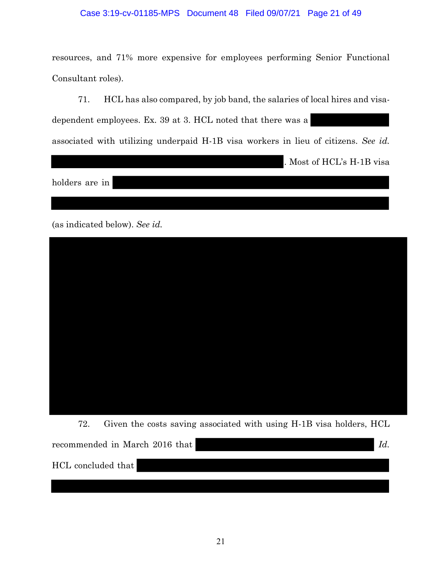### Case 3:19-cv-01185-MPS Document 48 Filed 09/07/21 Page 21 of 49

resources, and 71% more expensive for employees performing Senior Functional Consultant roles).

71. HCL has also compared, by job band, the salaries of local hires and visadependent employees. Ex. 39 at 3. HCL noted that there was a associated with utilizing underpaid H-1B visa workers in lieu of citizens. *See id.*

. Most of HCL's H-1B visa

holders are in

(as indicated below). *See id.* 



72. Given the costs saving associated with using H-1B visa holders, HCL recommended in March 2016 that *Id.* HCL concluded that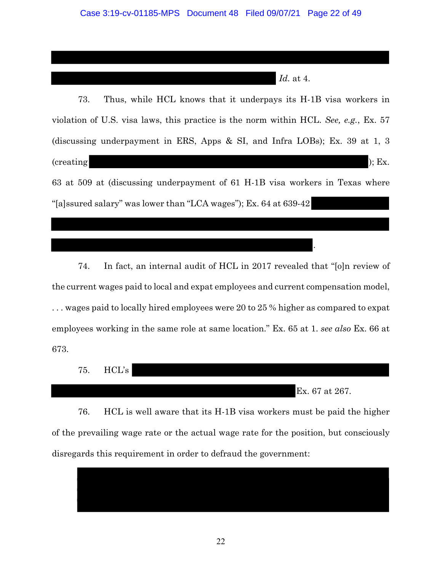*Id.* at 4.

.

73. Thus, while HCL knows that it underpays its H-1B visa workers in violation of U.S. visa laws, this practice is the norm within HCL. *See, e.g.*, Ex. 57 (discussing underpayment in ERS, Apps & SI, and Infra LOBs); Ex. 39 at 1, 3  $(creating)$ ; Ex. 63 at 509 at (discussing underpayment of 61 H-1B visa workers in Texas where "[a]ssured salary" was lower than "LCA wages"); Ex. 64 at 639-42

74. In fact, an internal audit of HCL in 2017 revealed that "[o]n review of the current wages paid to local and expat employees and current compensation model, . . . wages paid to locally hired employees were 20 to 25 % higher as compared to expat employees working in the same role at same location." Ex. 65 at 1. *see also* Ex. 66 at 673.

75. HCL's Ex. 67 at 267.

76. HCL is well aware that its H-1B visa workers must be paid the higher of the prevailing wage rate or the actual wage rate for the position, but consciously disregards this requirement in order to defraud the government:

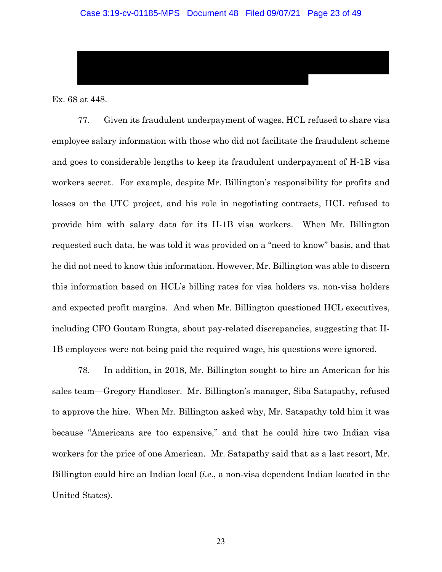Ex. 68 at 448.

77. Given its fraudulent underpayment of wages, HCL refused to share visa employee salary information with those who did not facilitate the fraudulent scheme and goes to considerable lengths to keep its fraudulent underpayment of H-1B visa workers secret. For example, despite Mr. Billington's responsibility for profits and losses on the UTC project, and his role in negotiating contracts, HCL refused to provide him with salary data for its H-1B visa workers. When Mr. Billington requested such data, he was told it was provided on a "need to know" basis, and that he did not need to know this information. However, Mr. Billington was able to discern this information based on HCL's billing rates for visa holders vs. non-visa holders and expected profit margins. And when Mr. Billington questioned HCL executives, including CFO Goutam Rungta, about pay-related discrepancies, suggesting that H-1B employees were not being paid the required wage, his questions were ignored.

78. In addition, in 2018, Mr. Billington sought to hire an American for his sales team—Gregory Handloser. Mr. Billington's manager, Siba Satapathy, refused to approve the hire. When Mr. Billington asked why, Mr. Satapathy told him it was because "Americans are too expensive," and that he could hire two Indian visa workers for the price of one American. Mr. Satapathy said that as a last resort, Mr. Billington could hire an Indian local (*i.e*., a non-visa dependent Indian located in the United States).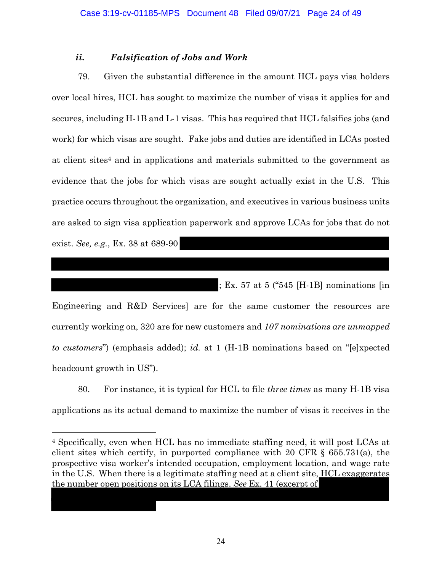# *ii. Falsification of Jobs and Work*

79. Given the substantial difference in the amount HCL pays visa holders over local hires, HCL has sought to maximize the number of visas it applies for and secures, including H-1B and L-1 visas. This has required that HCL falsifies jobs (and work) for which visas are sought. Fake jobs and duties are identified in LCAs posted at client sites4 and in applications and materials submitted to the government as evidence that the jobs for which visas are sought actually exist in the U.S. This practice occurs throughout the organization, and executives in various business units are asked to sign visa application paperwork and approve LCAs for jobs that do not exist. *See, e.g.*, Ex. 38 at 689-90

; Ex. 57 at 5 ("545 [H-1B] nominations [in

Engineering and R&D Services] are for the same customer the resources are currently working on, 320 are for new customers and *107 nominations are unmapped to customers*") (emphasis added); *id.* at 1 (H-1B nominations based on "[e]xpected headcount growth in US").

80. For instance, it is typical for HCL to file *three times* as many H-1B visa applications as its actual demand to maximize the number of visas it receives in the

<sup>4</sup> Specifically, even when HCL has no immediate staffing need, it will post LCAs at client sites which certify, in purported compliance with 20 CFR § 655.731(a), the prospective visa worker's intended occupation, employment location, and wage rate in the U.S. When there is a legitimate staffing need at a client site, HCL exaggerates the number open positions on its LCA filings. *See* Ex. 41 (excerpt of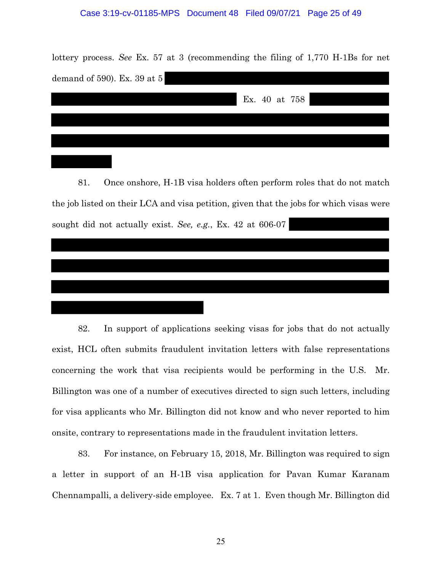#### Case 3:19-cv-01185-MPS Document 48 Filed 09/07/21 Page 25 of 49

lottery process. *See* Ex. 57 at 3 (recommending the filing of 1,770 H-1Bs for net demand of 590). Ex. 39 at 5

|  |  | Ex. 40 at 758 |  |  |
|--|--|---------------|--|--|
|  |  |               |  |  |
|  |  |               |  |  |

81. Once onshore, H-1B visa holders often perform roles that do not match the job listed on their LCA and visa petition, given that the jobs for which visas were sought did not actually exist. *See, e.g.*, Ex. 42 at 606-07

82. In support of applications seeking visas for jobs that do not actually exist, HCL often submits fraudulent invitation letters with false representations concerning the work that visa recipients would be performing in the U.S. Mr. Billington was one of a number of executives directed to sign such letters, including for visa applicants who Mr. Billington did not know and who never reported to him onsite, contrary to representations made in the fraudulent invitation letters.

83. For instance, on February 15, 2018, Mr. Billington was required to sign a letter in support of an H-1B visa application for Pavan Kumar Karanam Chennampalli, a delivery-side employee. Ex. 7 at 1. Even though Mr. Billington did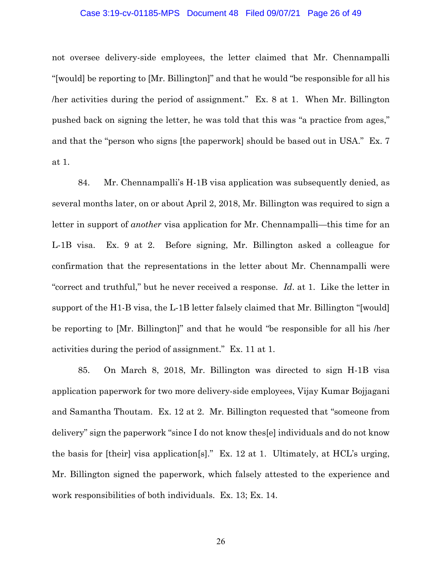#### Case 3:19-cv-01185-MPS Document 48 Filed 09/07/21 Page 26 of 49

not oversee delivery-side employees, the letter claimed that Mr. Chennampalli "[would] be reporting to [Mr. Billington]" and that he would "be responsible for all his /her activities during the period of assignment." Ex. 8 at 1. When Mr. Billington pushed back on signing the letter, he was told that this was "a practice from ages," and that the "person who signs [the paperwork] should be based out in USA." Ex. 7 at 1.

84. Mr. Chennampalli's H-1B visa application was subsequently denied, as several months later, on or about April 2, 2018, Mr. Billington was required to sign a letter in support of *another* visa application for Mr. Chennampalli—this time for an L-1B visa. Ex. 9 at 2. Before signing, Mr. Billington asked a colleague for confirmation that the representations in the letter about Mr. Chennampalli were "correct and truthful," but he never received a response. *Id*. at 1. Like the letter in support of the H1-B visa, the L-1B letter falsely claimed that Mr. Billington "[would] be reporting to [Mr. Billington]" and that he would "be responsible for all his /her activities during the period of assignment." Ex. 11 at 1.

85. On March 8, 2018, Mr. Billington was directed to sign H-1B visa application paperwork for two more delivery-side employees, Vijay Kumar Bojjagani and Samantha Thoutam. Ex. 12 at 2. Mr. Billington requested that "someone from delivery" sign the paperwork "since I do not know thes[e] individuals and do not know the basis for [their] visa application[s]." Ex. 12 at 1. Ultimately, at HCL's urging, Mr. Billington signed the paperwork, which falsely attested to the experience and work responsibilities of both individuals. Ex. 13; Ex. 14.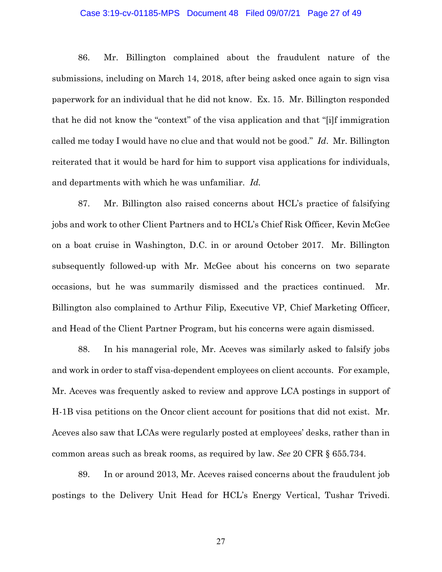#### Case 3:19-cv-01185-MPS Document 48 Filed 09/07/21 Page 27 of 49

86. Mr. Billington complained about the fraudulent nature of the submissions, including on March 14, 2018, after being asked once again to sign visa paperwork for an individual that he did not know. Ex. 15. Mr. Billington responded that he did not know the "context" of the visa application and that "[i]f immigration called me today I would have no clue and that would not be good." *Id*. Mr. Billington reiterated that it would be hard for him to support visa applications for individuals, and departments with which he was unfamiliar. *Id.* 

87. Mr. Billington also raised concerns about HCL's practice of falsifying jobs and work to other Client Partners and to HCL's Chief Risk Officer, Kevin McGee on a boat cruise in Washington, D.C. in or around October 2017. Mr. Billington subsequently followed-up with Mr. McGee about his concerns on two separate occasions, but he was summarily dismissed and the practices continued. Mr. Billington also complained to Arthur Filip, Executive VP, Chief Marketing Officer, and Head of the Client Partner Program, but his concerns were again dismissed.

88. In his managerial role, Mr. Aceves was similarly asked to falsify jobs and work in order to staff visa-dependent employees on client accounts. For example, Mr. Aceves was frequently asked to review and approve LCA postings in support of H-1B visa petitions on the Oncor client account for positions that did not exist. Mr. Aceves also saw that LCAs were regularly posted at employees' desks, rather than in common areas such as break rooms, as required by law. *See* 20 CFR § 655.734.

89. In or around 2013, Mr. Aceves raised concerns about the fraudulent job postings to the Delivery Unit Head for HCL's Energy Vertical, Tushar Trivedi.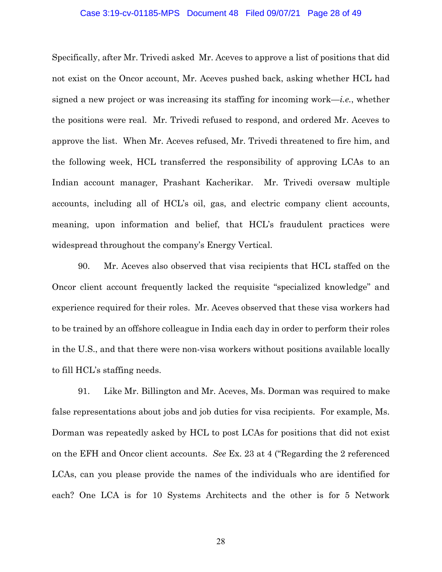#### Case 3:19-cv-01185-MPS Document 48 Filed 09/07/21 Page 28 of 49

Specifically, after Mr. Trivedi asked Mr. Aceves to approve a list of positions that did not exist on the Oncor account, Mr. Aceves pushed back, asking whether HCL had signed a new project or was increasing its staffing for incoming work—*i.e.*, whether the positions were real. Mr. Trivedi refused to respond, and ordered Mr. Aceves to approve the list. When Mr. Aceves refused, Mr. Trivedi threatened to fire him, and the following week, HCL transferred the responsibility of approving LCAs to an Indian account manager, Prashant Kacherikar. Mr. Trivedi oversaw multiple accounts, including all of HCL's oil, gas, and electric company client accounts, meaning, upon information and belief, that HCL's fraudulent practices were widespread throughout the company's Energy Vertical.

90. Mr. Aceves also observed that visa recipients that HCL staffed on the Oncor client account frequently lacked the requisite "specialized knowledge" and experience required for their roles. Mr. Aceves observed that these visa workers had to be trained by an offshore colleague in India each day in order to perform their roles in the U.S., and that there were non-visa workers without positions available locally to fill HCL's staffing needs.

91. Like Mr. Billington and Mr. Aceves, Ms. Dorman was required to make false representations about jobs and job duties for visa recipients. For example, Ms. Dorman was repeatedly asked by HCL to post LCAs for positions that did not exist on the EFH and Oncor client accounts. *See* Ex. 23 at 4 ("Regarding the 2 referenced LCAs, can you please provide the names of the individuals who are identified for each? One LCA is for 10 Systems Architects and the other is for 5 Network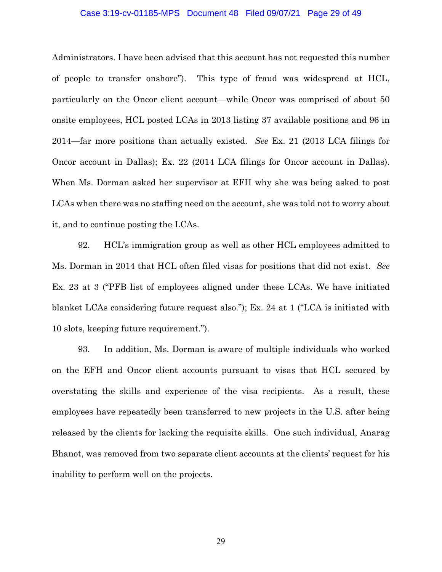#### Case 3:19-cv-01185-MPS Document 48 Filed 09/07/21 Page 29 of 49

Administrators. I have been advised that this account has not requested this number of people to transfer onshore"). This type of fraud was widespread at HCL, particularly on the Oncor client account—while Oncor was comprised of about 50 onsite employees, HCL posted LCAs in 2013 listing 37 available positions and 96 in 2014—far more positions than actually existed. *See* Ex. 21 (2013 LCA filings for Oncor account in Dallas); Ex. 22 (2014 LCA filings for Oncor account in Dallas). When Ms. Dorman asked her supervisor at EFH why she was being asked to post LCAs when there was no staffing need on the account, she was told not to worry about it, and to continue posting the LCAs.

92. HCL's immigration group as well as other HCL employees admitted to Ms. Dorman in 2014 that HCL often filed visas for positions that did not exist. *See*  Ex. 23 at 3 ("PFB list of employees aligned under these LCAs. We have initiated blanket LCAs considering future request also."); Ex. 24 at 1 ("LCA is initiated with 10 slots, keeping future requirement.").

93. In addition, Ms. Dorman is aware of multiple individuals who worked on the EFH and Oncor client accounts pursuant to visas that HCL secured by overstating the skills and experience of the visa recipients. As a result, these employees have repeatedly been transferred to new projects in the U.S. after being released by the clients for lacking the requisite skills. One such individual, Anarag Bhanot, was removed from two separate client accounts at the clients' request for his inability to perform well on the projects.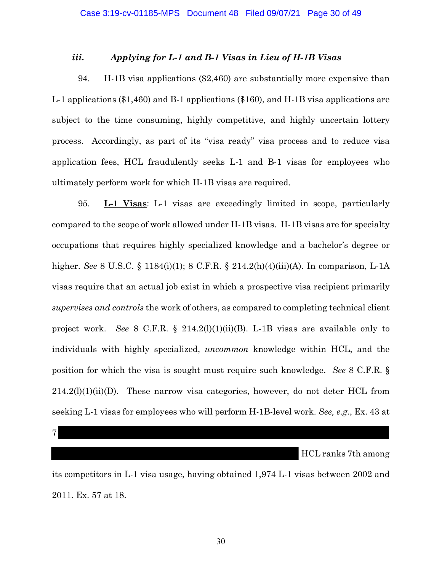# *iii. Applying for L-1 and B-1 Visas in Lieu of H-1B Visas*

94. H-1B visa applications (\$2,460) are substantially more expensive than L-1 applications (\$1,460) and B-1 applications (\$160), and H-1B visa applications are subject to the time consuming, highly competitive, and highly uncertain lottery process. Accordingly, as part of its "visa ready" visa process and to reduce visa application fees, HCL fraudulently seeks L-1 and B-1 visas for employees who ultimately perform work for which H-1B visas are required.

95. **L-1 Visas**: L-1 visas are exceedingly limited in scope, particularly compared to the scope of work allowed under H-1B visas. H-1B visas are for specialty occupations that requires highly specialized knowledge and a bachelor's degree or higher. *See* 8 U.S.C. § 1184(i)(1); 8 C.F.R. § 214.2(h)(4)(iii)(A). In comparison, L-1A visas require that an actual job exist in which a prospective visa recipient primarily *supervises and controls* the work of others, as compared to completing technical client project work. *See* 8 C.F.R. § 214.2(l)(1)(ii)(B). L-1B visas are available only to individuals with highly specialized, *uncommon* knowledge within HCL, and the position for which the visa is sought must require such knowledge. *See* 8 C.F.R. §  $214.2(l)(1)(ii)(D)$ . These narrow visa categories, however, do not deter HCL from seeking L-1 visas for employees who will perform H-1B-level work. *See, e.g.*, Ex. 43 at

7

HCL ranks 7th among

its competitors in L-1 visa usage, having obtained 1,974 L-1 visas between 2002 and 2011. Ex. 57 at 18.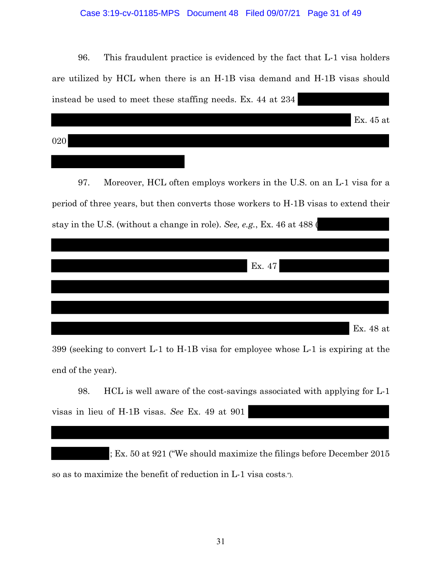# Case 3:19-cv-01185-MPS Document 48 Filed 09/07/21 Page 31 of 49

96. This fraudulent practice is evidenced by the fact that L-1 visa holders are utilized by HCL when there is an H-1B visa demand and H-1B visas should instead be used to meet these staffing needs. Ex. 44 at 234

|     | Ex. 45 at |
|-----|-----------|
| 020 |           |
|     |           |

97. Moreover, HCL often employs workers in the U.S. on an L-1 visa for a period of three years, but then converts those workers to H-1B visas to extend their stay in the U.S. (without a change in role). *See, e.g.*, Ex. 46 at 488 (

|  | Ex. 47 |           |
|--|--------|-----------|
|  |        |           |
|  |        |           |
|  |        | Ex. 48 at |

399 (seeking to convert L-1 to H-1B visa for employee whose L-1 is expiring at the end of the year).

98. HCL is well aware of the cost-savings associated with applying for L-1 visas in lieu of H-1B visas. *See* Ex. 49 at 901

; Ex. 50 at 921 ("We should maximize the filings before December 2015 so as to maximize the benefit of reduction in L-1 visa costs.").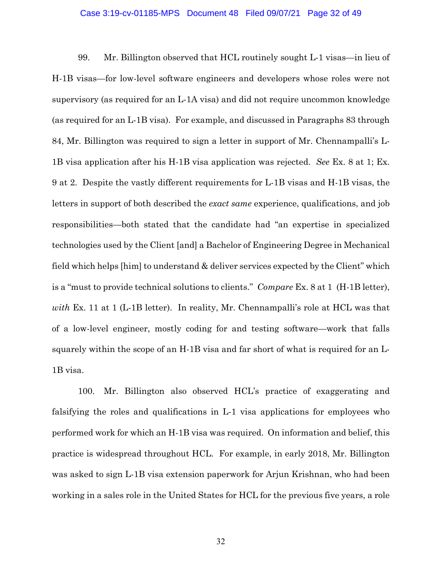#### Case 3:19-cv-01185-MPS Document 48 Filed 09/07/21 Page 32 of 49

99. Mr. Billington observed that HCL routinely sought L-1 visas—in lieu of H-1B visas—for low-level software engineers and developers whose roles were not supervisory (as required for an L-1A visa) and did not require uncommon knowledge (as required for an L-1B visa). For example, and discussed in Paragraphs 83 through 84, Mr. Billington was required to sign a letter in support of Mr. Chennampalli's L-1B visa application after his H-1B visa application was rejected. *See* Ex. 8 at 1; Ex. 9 at 2. Despite the vastly different requirements for L-1B visas and H-1B visas, the letters in support of both described the *exact same* experience, qualifications, and job responsibilities—both stated that the candidate had "an expertise in specialized technologies used by the Client [and] a Bachelor of Engineering Degree in Mechanical field which helps [him] to understand & deliver services expected by the Client" which is a "must to provide technical solutions to clients." *Compare* Ex. 8 at 1 (H-1B letter), *with* Ex. 11 at 1 (L-1B letter). In reality, Mr. Chennampalli's role at HCL was that of a low-level engineer, mostly coding for and testing software—work that falls squarely within the scope of an H-1B visa and far short of what is required for an L-1B visa.

100. Mr. Billington also observed HCL's practice of exaggerating and falsifying the roles and qualifications in L-1 visa applications for employees who performed work for which an H-1B visa was required. On information and belief, this practice is widespread throughout HCL. For example, in early 2018, Mr. Billington was asked to sign L-1B visa extension paperwork for Arjun Krishnan, who had been working in a sales role in the United States for HCL for the previous five years, a role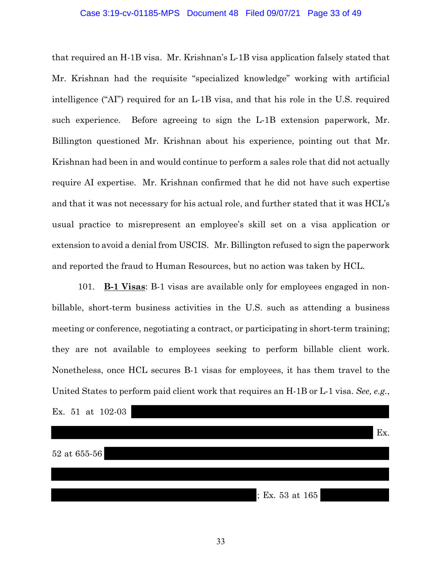#### Case 3:19-cv-01185-MPS Document 48 Filed 09/07/21 Page 33 of 49

that required an H-1B visa. Mr. Krishnan's L-1B visa application falsely stated that Mr. Krishnan had the requisite "specialized knowledge" working with artificial intelligence ("AI") required for an L-1B visa, and that his role in the U.S. required such experience. Before agreeing to sign the L-1B extension paperwork, Mr. Billington questioned Mr. Krishnan about his experience, pointing out that Mr. Krishnan had been in and would continue to perform a sales role that did not actually require AI expertise. Mr. Krishnan confirmed that he did not have such expertise and that it was not necessary for his actual role, and further stated that it was HCL's usual practice to misrepresent an employee's skill set on a visa application or extension to avoid a denial from USCIS. Mr. Billington refused to sign the paperwork and reported the fraud to Human Resources, but no action was taken by HCL.

101. **B-1 Visas**: B-1 visas are available only for employees engaged in nonbillable, short-term business activities in the U.S. such as attending a business meeting or conference, negotiating a contract, or participating in short-term training; they are not available to employees seeking to perform billable client work. Nonetheless, once HCL secures B-1 visas for employees, it has them travel to the United States to perform paid client work that requires an H-1B or L-1 visa. *See, e.g.*, Ex. 51 at 102-03

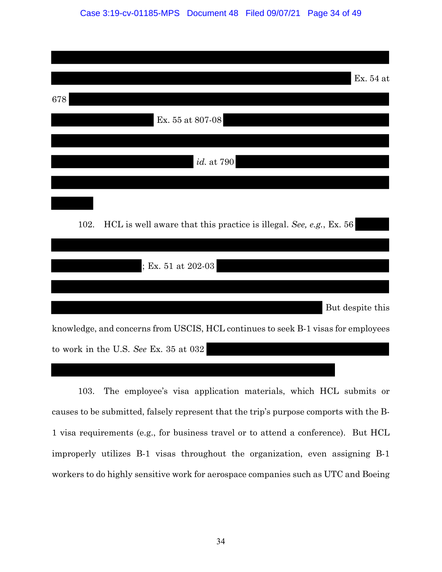| Ex. 54 at                                                                         |
|-----------------------------------------------------------------------------------|
| 678                                                                               |
| Ex. 55 at 807-08                                                                  |
|                                                                                   |
| <i>id.</i> at 790                                                                 |
|                                                                                   |
|                                                                                   |
| 102.<br>HCL is well aware that this practice is illegal. See, e.g., Ex. 56        |
|                                                                                   |
| ; Ex. 51 at 202-03                                                                |
|                                                                                   |
| But despite this                                                                  |
| knowledge, and concerns from USCIS, HCL continues to seek B-1 visas for employees |
| to work in the U.S. See Ex. 35 at 032                                             |

103. The employee's visa application materials, which HCL submits or causes to be submitted, falsely represent that the trip's purpose comports with the B-1 visa requirements (e.g., for business travel or to attend a conference). But HCL improperly utilizes B-1 visas throughout the organization, even assigning B-1 workers to do highly sensitive work for aerospace companies such as UTC and Boeing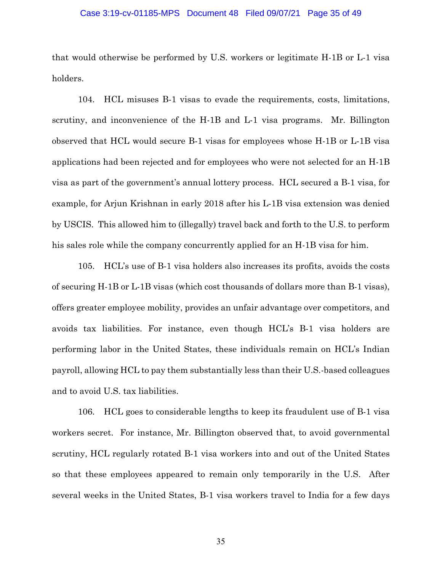#### Case 3:19-cv-01185-MPS Document 48 Filed 09/07/21 Page 35 of 49

that would otherwise be performed by U.S. workers or legitimate H-1B or L-1 visa holders.

104. HCL misuses B-1 visas to evade the requirements, costs, limitations, scrutiny, and inconvenience of the H-1B and L-1 visa programs. Mr. Billington observed that HCL would secure B-1 visas for employees whose H-1B or L-1B visa applications had been rejected and for employees who were not selected for an H-1B visa as part of the government's annual lottery process. HCL secured a B-1 visa, for example, for Arjun Krishnan in early 2018 after his L-1B visa extension was denied by USCIS. This allowed him to (illegally) travel back and forth to the U.S. to perform his sales role while the company concurrently applied for an H-1B visa for him.

105. HCL's use of B-1 visa holders also increases its profits, avoids the costs of securing H-1B or L-1B visas (which cost thousands of dollars more than B-1 visas), offers greater employee mobility, provides an unfair advantage over competitors, and avoids tax liabilities. For instance, even though HCL's B-1 visa holders are performing labor in the United States, these individuals remain on HCL's Indian payroll, allowing HCL to pay them substantially less than their U.S.-based colleagues and to avoid U.S. tax liabilities.

106. HCL goes to considerable lengths to keep its fraudulent use of B-1 visa workers secret. For instance, Mr. Billington observed that, to avoid governmental scrutiny, HCL regularly rotated B-1 visa workers into and out of the United States so that these employees appeared to remain only temporarily in the U.S. After several weeks in the United States, B-1 visa workers travel to India for a few days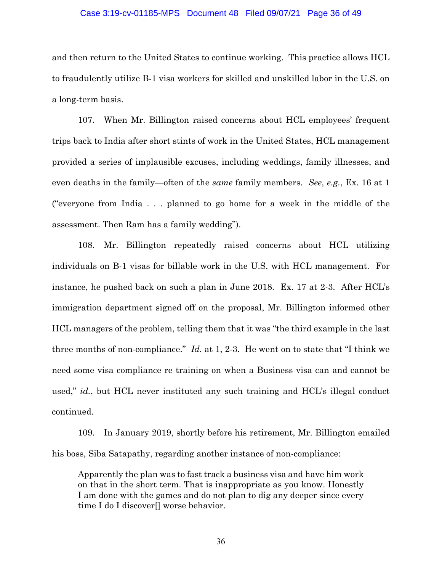#### Case 3:19-cv-01185-MPS Document 48 Filed 09/07/21 Page 36 of 49

and then return to the United States to continue working. This practice allows HCL to fraudulently utilize B-1 visa workers for skilled and unskilled labor in the U.S. on a long-term basis.

107. When Mr. Billington raised concerns about HCL employees' frequent trips back to India after short stints of work in the United States, HCL management provided a series of implausible excuses, including weddings, family illnesses, and even deaths in the family—often of the *same* family members. *See, e.g.*, Ex. 16 at 1 ("everyone from India . . . planned to go home for a week in the middle of the assessment. Then Ram has a family wedding").

108. Mr. Billington repeatedly raised concerns about HCL utilizing individuals on B-1 visas for billable work in the U.S. with HCL management. For instance, he pushed back on such a plan in June 2018. Ex. 17 at 2-3. After HCL's immigration department signed off on the proposal, Mr. Billington informed other HCL managers of the problem, telling them that it was "the third example in the last three months of non-compliance." *Id.* at 1, 2-3.He went on to state that "I think we need some visa compliance re training on when a Business visa can and cannot be used," *id.*, but HCL never instituted any such training and HCL's illegal conduct continued.

109. In January 2019, shortly before his retirement, Mr. Billington emailed his boss, Siba Satapathy, regarding another instance of non-compliance:

Apparently the plan was to fast track a business visa and have him work on that in the short term. That is inappropriate as you know. Honestly I am done with the games and do not plan to dig any deeper since every time I do I discover[] worse behavior.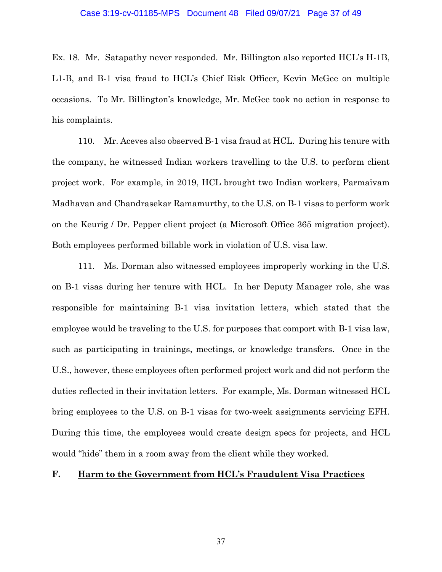#### Case 3:19-cv-01185-MPS Document 48 Filed 09/07/21 Page 37 of 49

Ex. 18. Mr. Satapathy never responded. Mr. Billington also reported HCL's H-1B, L1-B, and B-1 visa fraud to HCL's Chief Risk Officer, Kevin McGee on multiple occasions. To Mr. Billington's knowledge, Mr. McGee took no action in response to his complaints.

110. Mr. Aceves also observed B-1 visa fraud at HCL. During his tenure with the company, he witnessed Indian workers travelling to the U.S. to perform client project work. For example, in 2019, HCL brought two Indian workers, Parmaivam Madhavan and Chandrasekar Ramamurthy, to the U.S. on B-1 visas to perform work on the Keurig / Dr. Pepper client project (a Microsoft Office 365 migration project). Both employees performed billable work in violation of U.S. visa law.

111. Ms. Dorman also witnessed employees improperly working in the U.S. on B-1 visas during her tenure with HCL. In her Deputy Manager role, she was responsible for maintaining B-1 visa invitation letters, which stated that the employee would be traveling to the U.S. for purposes that comport with B-1 visa law, such as participating in trainings, meetings, or knowledge transfers. Once in the U.S., however, these employees often performed project work and did not perform the duties reflected in their invitation letters. For example, Ms. Dorman witnessed HCL bring employees to the U.S. on B-1 visas for two-week assignments servicing EFH. During this time, the employees would create design specs for projects, and HCL would "hide" them in a room away from the client while they worked.

# **F. Harm to the Government from HCL's Fraudulent Visa Practices**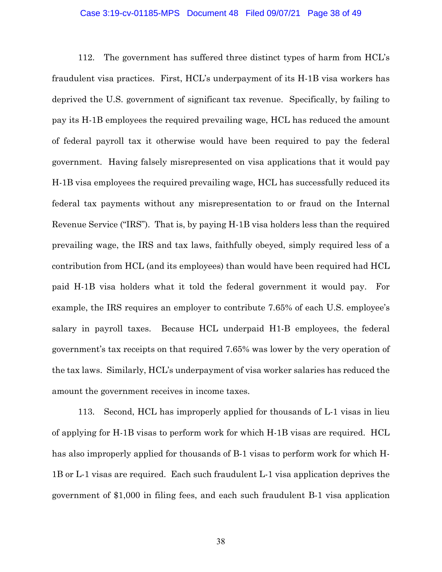#### Case 3:19-cv-01185-MPS Document 48 Filed 09/07/21 Page 38 of 49

112. The government has suffered three distinct types of harm from HCL's fraudulent visa practices. First, HCL's underpayment of its H-1B visa workers has deprived the U.S. government of significant tax revenue. Specifically, by failing to pay its H-1B employees the required prevailing wage, HCL has reduced the amount of federal payroll tax it otherwise would have been required to pay the federal government. Having falsely misrepresented on visa applications that it would pay H-1B visa employees the required prevailing wage, HCL has successfully reduced its federal tax payments without any misrepresentation to or fraud on the Internal Revenue Service ("IRS"). That is, by paying H-1B visa holders less than the required prevailing wage, the IRS and tax laws, faithfully obeyed, simply required less of a contribution from HCL (and its employees) than would have been required had HCL paid H-1B visa holders what it told the federal government it would pay. For example, the IRS requires an employer to contribute 7.65% of each U.S. employee's salary in payroll taxes. Because HCL underpaid H1-B employees, the federal government's tax receipts on that required 7.65% was lower by the very operation of the tax laws. Similarly, HCL's underpayment of visa worker salaries has reduced the amount the government receives in income taxes.

113. Second, HCL has improperly applied for thousands of L-1 visas in lieu of applying for H-1B visas to perform work for which H-1B visas are required. HCL has also improperly applied for thousands of B-1 visas to perform work for which H-1B or L-1 visas are required. Each such fraudulent L-1 visa application deprives the government of \$1,000 in filing fees, and each such fraudulent B-1 visa application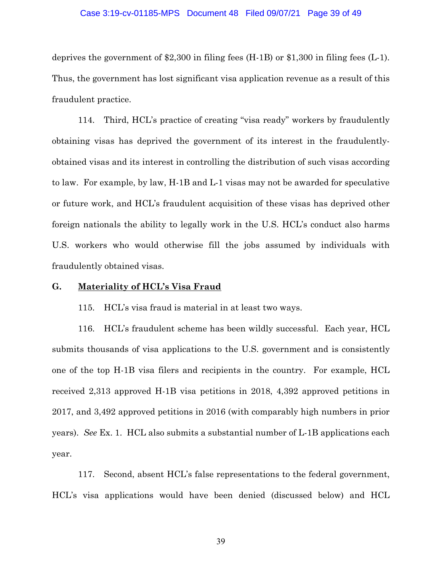#### Case 3:19-cv-01185-MPS Document 48 Filed 09/07/21 Page 39 of 49

deprives the government of \$2,300 in filing fees (H-1B) or \$1,300 in filing fees (L-1). Thus, the government has lost significant visa application revenue as a result of this fraudulent practice.

114. Third, HCL's practice of creating "visa ready" workers by fraudulently obtaining visas has deprived the government of its interest in the fraudulentlyobtained visas and its interest in controlling the distribution of such visas according to law. For example, by law, H-1B and L-1 visas may not be awarded for speculative or future work, and HCL's fraudulent acquisition of these visas has deprived other foreign nationals the ability to legally work in the U.S. HCL's conduct also harms U.S. workers who would otherwise fill the jobs assumed by individuals with fraudulently obtained visas.

# **G. Materiality of HCL's Visa Fraud**

115. HCL's visa fraud is material in at least two ways.

116. HCL's fraudulent scheme has been wildly successful. Each year, HCL submits thousands of visa applications to the U.S. government and is consistently one of the top H-1B visa filers and recipients in the country. For example, HCL received 2,313 approved H-1B visa petitions in 2018, 4,392 approved petitions in 2017, and 3,492 approved petitions in 2016 (with comparably high numbers in prior years). *See* Ex. 1. HCL also submits a substantial number of L-1B applications each year.

117. Second, absent HCL's false representations to the federal government, HCL's visa applications would have been denied (discussed below) and HCL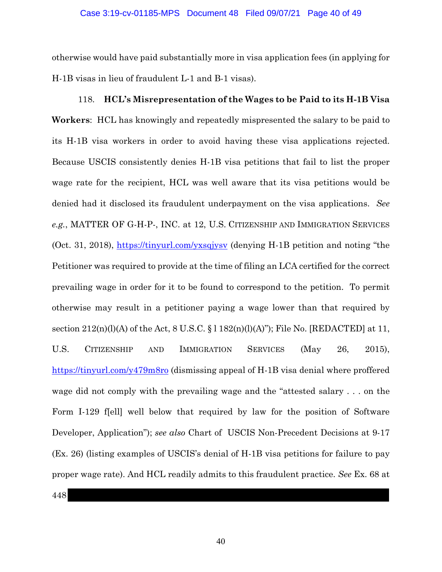otherwise would have paid substantially more in visa application fees (in applying for H-1B visas in lieu of fraudulent L-1 and B-1 visas).

# 118. **HCL's Misrepresentation of the Wages to be Paid to its H-1B Visa Workers**: HCL has knowingly and repeatedly mispresented the salary to be paid to its H-1B visa workers in order to avoid having these visa applications rejected. Because USCIS consistently denies H-1B visa petitions that fail to list the proper wage rate for the recipient, HCL was well aware that its visa petitions would be denied had it disclosed its fraudulent underpayment on the visa applications. *See e.g.*, MATTER OF G-H-P-, INC. at 12, U.S. CITIZENSHIP AND IMMIGRATION SERVICES (Oct. 31, 2018), https://tinyurl.com/yxsqjysv (denying H-1B petition and noting "the Petitioner was required to provide at the time of filing an LCA certified for the correct prevailing wage in order for it to be found to correspond to the petition. To permit otherwise may result in a petitioner paying a wage lower than that required by section  $212(n)(l)(A)$  of the Act, 8 U.S.C. § 1 182(n)(l)(A)"); File No. [REDACTED] at 11, U.S. CITIZENSHIP AND IMMIGRATION SERVICES (May 26, 2015), https://tinyurl.com/y479m8ro (dismissing appeal of H-1B visa denial where proffered wage did not comply with the prevailing wage and the "attested salary . . . on the Form I-129 f[ell] well below that required by law for the position of Software Developer, Application"); *see also* Chart of USCIS Non-Precedent Decisions at 9-17 (Ex. 26) (listing examples of USCIS's denial of H-1B visa petitions for failure to pay

proper wage rate). And HCL readily admits to this fraudulent practice. *See* Ex. 68 at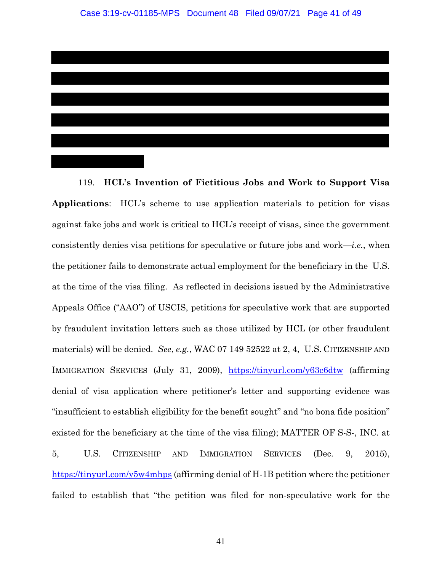119. **HCL's Invention of Fictitious Jobs and Work to Support Visa Applications**: HCL's scheme to use application materials to petition for visas against fake jobs and work is critical to HCL's receipt of visas, since the government consistently denies visa petitions for speculative or future jobs and work—*i.e.*, when the petitioner fails to demonstrate actual employment for the beneficiary in the U.S. at the time of the visa filing. As reflected in decisions issued by the Administrative Appeals Office ("AAO") of USCIS, petitions for speculative work that are supported by fraudulent invitation letters such as those utilized by HCL (or other fraudulent materials) will be denied. *See*, *e.g.*, WAC 07 149 52522 at 2, 4, U.S. CITIZENSHIP AND IMMIGRATION SERVICES (July 31, 2009), https://tinyurl.com/y63c6dtw (affirming denial of visa application where petitioner's letter and supporting evidence was "insufficient to establish eligibility for the benefit sought" and "no bona fide position" existed for the beneficiary at the time of the visa filing); MATTER OF S-S-, INC. at 5, U.S. CITIZENSHIP AND IMMIGRATION SERVICES (Dec. 9, 2015), https://tinyurl.com/y5w4mhps (affirming denial of H-1B petition where the petitioner

failed to establish that "the petition was filed for non-speculative work for the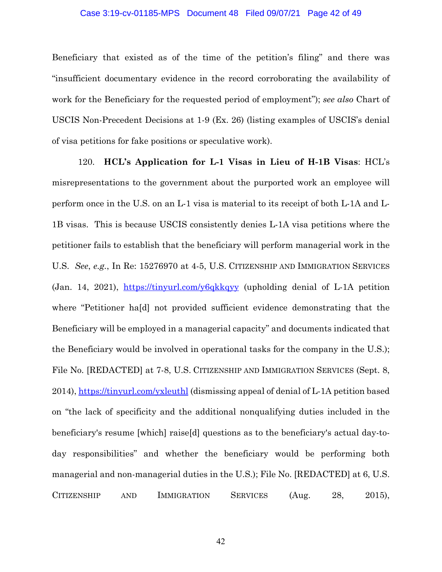#### Case 3:19-cv-01185-MPS Document 48 Filed 09/07/21 Page 42 of 49

Beneficiary that existed as of the time of the petition's filing" and there was "insufficient documentary evidence in the record corroborating the availability of work for the Beneficiary for the requested period of employment"); *see also* Chart of USCIS Non-Precedent Decisions at 1-9 (Ex. 26) (listing examples of USCIS's denial of visa petitions for fake positions or speculative work).

120. **HCL's Application for L-1 Visas in Lieu of H-1B Visas**: HCL's misrepresentations to the government about the purported work an employee will perform once in the U.S. on an L-1 visa is material to its receipt of both L-1A and L-1B visas. This is because USCIS consistently denies L-1A visa petitions where the petitioner fails to establish that the beneficiary will perform managerial work in the U.S. *See*, *e.g.*, In Re: 15276970 at 4-5, U.S. CITIZENSHIP AND IMMIGRATION SERVICES (Jan. 14, 2021), https://tinyurl.com/y6qkkqyy (upholding denial of L-1A petition where "Petitioner ha[d] not provided sufficient evidence demonstrating that the Beneficiary will be employed in a managerial capacity" and documents indicated that the Beneficiary would be involved in operational tasks for the company in the U.S.); File No. [REDACTED] at 7-8, U.S. CITIZENSHIP AND IMMIGRATION SERVICES (Sept. 8, 2014), https://tinyurl.com/yxleuthl (dismissing appeal of denial of L-1A petition based on "the lack of specificity and the additional nonqualifying duties included in the beneficiary's resume [which] raise[d] questions as to the beneficiary's actual day-today responsibilities" and whether the beneficiary would be performing both managerial and non-managerial duties in the U.S.); File No. [REDACTED] at 6, U.S. CITIZENSHIP AND IMMIGRATION SERVICES (Aug. 28, 2015),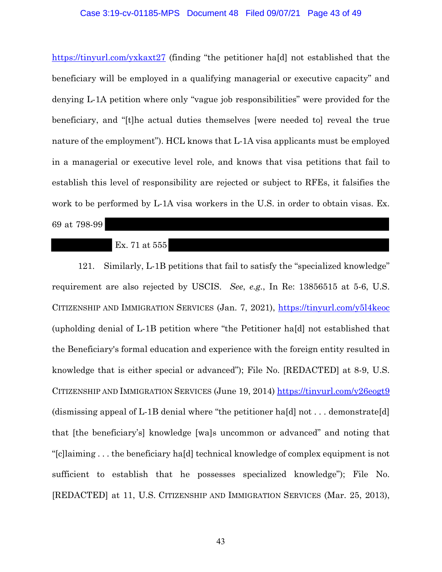#### Case 3:19-cv-01185-MPS Document 48 Filed 09/07/21 Page 43 of 49

https://tinyurl.com/yxkaxt27 (finding "the petitioner ha[d] not established that the beneficiary will be employed in a qualifying managerial or executive capacity" and denying L-1A petition where only "vague job responsibilities" were provided for the beneficiary, and "[t]he actual duties themselves [were needed to] reveal the true nature of the employment"). HCL knows that L-1A visa applicants must be employed in a managerial or executive level role, and knows that visa petitions that fail to establish this level of responsibility are rejected or subject to RFEs, it falsifies the work to be performed by L-1A visa workers in the U.S. in order to obtain visas. Ex.

69 at 798-99

#### Ex. 71 at 555

121. Similarly, L-1B petitions that fail to satisfy the "specialized knowledge" requirement are also rejected by USCIS. *See*, *e.g.*, In Re: 13856515 at 5-6, U.S. CITIZENSHIP AND IMMIGRATION SERVICES (Jan. 7, 2021), https://tinyurl.com/y5l4keoc (upholding denial of L-1B petition where "the Petitioner ha[d] not established that the Beneficiary's formal education and experience with the foreign entity resulted in knowledge that is either special or advanced"); File No. [REDACTED] at 8-9, U.S. CITIZENSHIP AND IMMIGRATION SERVICES (June 19, 2014) https://tinyurl.com/y26eogt9 (dismissing appeal of L-1B denial where "the petitioner hald not  $\dots$  demonstrate [d] that [the beneficiary's] knowledge [wa]s uncommon or advanced" and noting that "[c]laiming . . . the beneficiary ha[d] technical knowledge of complex equipment is not sufficient to establish that he possesses specialized knowledge"); File No. [REDACTED] at 11, U.S. CITIZENSHIP AND IMMIGRATION SERVICES (Mar. 25, 2013),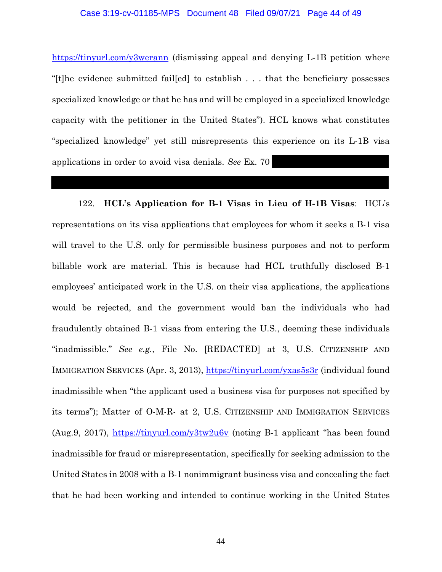#### Case 3:19-cv-01185-MPS Document 48 Filed 09/07/21 Page 44 of 49

https://tinyurl.com/y3werann (dismissing appeal and denying L-1B petition where "[t]he evidence submitted fail[ed] to establish . . . that the beneficiary possesses specialized knowledge or that he has and will be employed in a specialized knowledge capacity with the petitioner in the United States"). HCL knows what constitutes "specialized knowledge" yet still misrepresents this experience on its L-1B visa applications in order to avoid visa denials. *See* Ex. 70

122. **HCL's Application for B-1 Visas in Lieu of H-1B Visas**: HCL's representations on its visa applications that employees for whom it seeks a B-1 visa will travel to the U.S. only for permissible business purposes and not to perform billable work are material. This is because had HCL truthfully disclosed B-1 employees' anticipated work in the U.S. on their visa applications, the applications would be rejected, and the government would ban the individuals who had fraudulently obtained B-1 visas from entering the U.S., deeming these individuals "inadmissible." *See e.g.*, File No. [REDACTED] at 3, U.S. CITIZENSHIP AND IMMIGRATION SERVICES (Apr. 3, 2013), https://tinyurl.com/yxas5s3r (individual found inadmissible when "the applicant used a business visa for purposes not specified by its terms"); Matter of O-M-R- at 2, U.S. CITIZENSHIP AND IMMIGRATION SERVICES (Aug.9, 2017), https://tinyurl.com/y3tw2u6v (noting B-1 applicant "has been found inadmissible for fraud or misrepresentation, specifically for seeking admission to the United States in 2008 with a B-1 nonimmigrant business visa and concealing the fact that he had been working and intended to continue working in the United States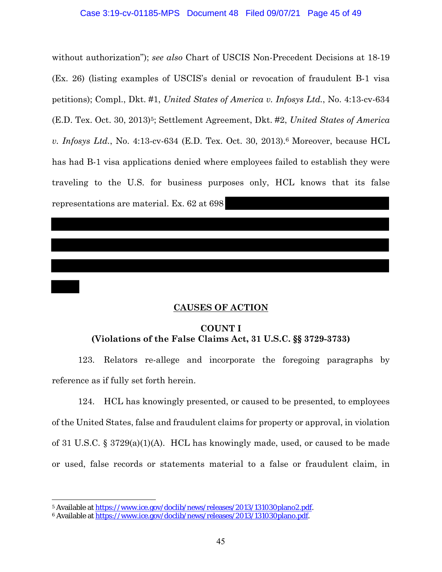#### Case 3:19-cv-01185-MPS Document 48 Filed 09/07/21 Page 45 of 49

without authorization"); *see also* Chart of USCIS Non-Precedent Decisions at 18-19 (Ex. 26) (listing examples of USCIS's denial or revocation of fraudulent B-1 visa petitions); Compl., Dkt. #1, *United States of America v. Infosys Ltd.*, No. 4:13-cv-634 (E.D. Tex. Oct. 30, 2013)5; Settlement Agreement, Dkt. #2, *United States of America v. Infosys Ltd.*, No. 4:13-cv-634 (E.D. Tex. Oct. 30, 2013).6 Moreover, because HCL has had B-1 visa applications denied where employees failed to establish they were traveling to the U.S. for business purposes only, HCL knows that its false representations are material. Ex. 62 at 698

## **CAUSES OF ACTION**

# **COUNT I (Violations of the False Claims Act, 31 U.S.C. §§ 3729-3733)**

123. Relators re-allege and incorporate the foregoing paragraphs by reference as if fully set forth herein.

124. HCL has knowingly presented, or caused to be presented, to employees of the United States, false and fraudulent claims for property or approval, in violation of 31 U.S.C. § 3729(a)(1)(A). HCL has knowingly made, used, or caused to be made or used, false records or statements material to a false or fraudulent claim, in

<sup>&</sup>lt;sup>5</sup> Available at https://www.ice.gov/doclib/news/releases/2013/131030plano2.pdf.<br><sup>6</sup> Available at https://www.ice.gov/doclib/news/releases/2013/131030plano.pdf.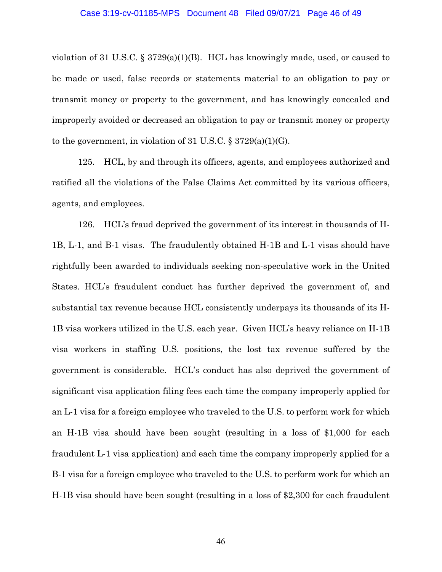violation of 31 U.S.C.  $\S 3729(a)(1)(B)$ . HCL has knowingly made, used, or caused to be made or used, false records or statements material to an obligation to pay or transmit money or property to the government, and has knowingly concealed and improperly avoided or decreased an obligation to pay or transmit money or property to the government, in violation of 31 U.S.C.  $\S 3729(a)(1)(G)$ .

125. HCL, by and through its officers, agents, and employees authorized and ratified all the violations of the False Claims Act committed by its various officers, agents, and employees.

126. HCL's fraud deprived the government of its interest in thousands of H-1B, L-1, and B-1 visas. The fraudulently obtained H-1B and L-1 visas should have rightfully been awarded to individuals seeking non-speculative work in the United States. HCL's fraudulent conduct has further deprived the government of, and substantial tax revenue because HCL consistently underpays its thousands of its H-1B visa workers utilized in the U.S. each year. Given HCL's heavy reliance on H-1B visa workers in staffing U.S. positions, the lost tax revenue suffered by the government is considerable. HCL's conduct has also deprived the government of significant visa application filing fees each time the company improperly applied for an L-1 visa for a foreign employee who traveled to the U.S. to perform work for which an H-1B visa should have been sought (resulting in a loss of \$1,000 for each fraudulent L-1 visa application) and each time the company improperly applied for a B-1 visa for a foreign employee who traveled to the U.S. to perform work for which an H-1B visa should have been sought (resulting in a loss of \$2,300 for each fraudulent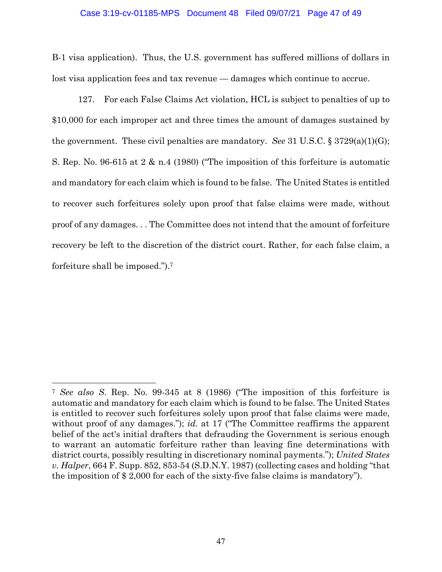#### Case 3:19-cv-01185-MPS Document 48 Filed 09/07/21 Page 47 of 49

B-1 visa application). Thus, the U.S. government has suffered millions of dollars in lost visa application fees and tax revenue — damages which continue to accrue.

127. For each False Claims Act violation, HCL is subject to penalties of up to \$10,000 for each improper act and three times the amount of damages sustained by the government. These civil penalties are mandatory. *See* 31 U.S.C. § 3729(a)(1)(G); S. Rep. No. 96-615 at 2 & n.4 (1980) ("The imposition of this forfeiture is automatic and mandatory for each claim which is found to be false. The United States is entitled to recover such forfeitures solely upon proof that false claims were made, without proof of any damages. . . The Committee does not intend that the amount of forfeiture recovery be left to the discretion of the district court. Rather, for each false claim, a forfeiture shall be imposed.").7

<sup>7</sup> *See also S*. Rep. No. 99-345 at 8 (1986) ("The imposition of this forfeiture is automatic and mandatory for each claim which is found to be false. The United States is entitled to recover such forfeitures solely upon proof that false claims were made, without proof of any damages."); *id.* at 17 ("The Committee reaffirms the apparent belief of the act's initial drafters that defrauding the Government is serious enough to warrant an automatic forfeiture rather than leaving fine determinations with district courts, possibly resulting in discretionary nominal payments."); *United States v. Halper*, 664 F. Supp. 852, 853-54 (S.D.N.Y. 1987) (collecting cases and holding "that the imposition of \$ 2,000 for each of the sixty-five false claims is mandatory").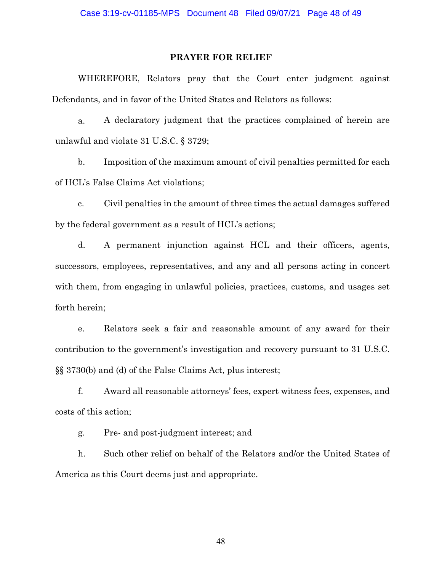#### **PRAYER FOR RELIEF**

WHEREFORE, Relators pray that the Court enter judgment against Defendants, and in favor of the United States and Relators as follows:

a. A declaratory judgment that the practices complained of herein are unlawful and violate 31 U.S.C. § 3729;

b. Imposition of the maximum amount of civil penalties permitted for each of HCL's False Claims Act violations;

c. Civil penalties in the amount of three times the actual damages suffered by the federal government as a result of HCL's actions;

d. A permanent injunction against HCL and their officers, agents, successors, employees, representatives, and any and all persons acting in concert with them, from engaging in unlawful policies, practices, customs, and usages set forth herein;

e. Relators seek a fair and reasonable amount of any award for their contribution to the government's investigation and recovery pursuant to 31 U.S.C. §§ 3730(b) and (d) of the False Claims Act, plus interest;

f. Award all reasonable attorneys' fees, expert witness fees, expenses, and costs of this action;

g. Pre- and post-judgment interest; and

h. Such other relief on behalf of the Relators and/or the United States of America as this Court deems just and appropriate.